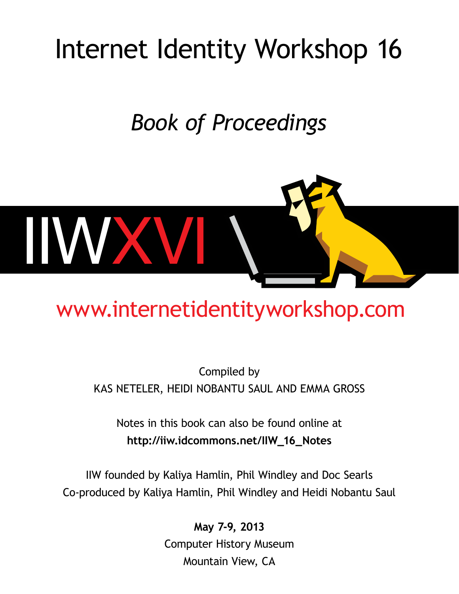# Internet Identity Workshop 16

# *Book of Proceedings*



# [www.internetidentityworkshop.com](http://www.internetidentityworkshop.com/)

# Compiled by Kas Neteler, Heidi Nobantu Saul and Emma Gross

Notes in this book can also be found online at **[http://iiw.idcommons.net/IIW\\_16\\_Notes](http://iiw.idcommons.net/IIW_15_Notes)**

IIW founded by Kaliya Hamlin, Phil Windley and Doc Searls Co-produced by Kaliya Hamlin, Phil Windley and Heidi Nobantu Saul

> **May 7-9, 2013** Computer History Museum Mountain View, CA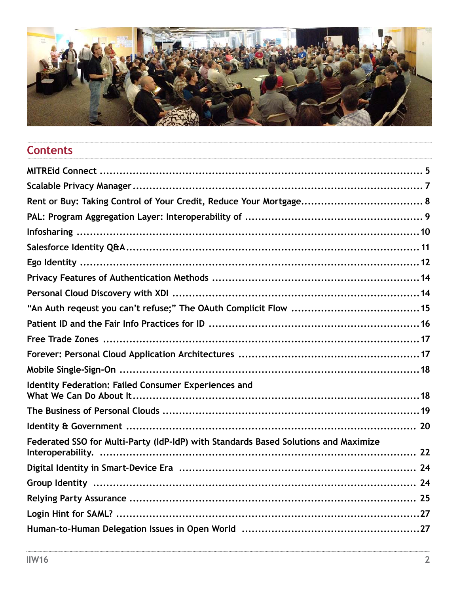

# Contents

| Identity Federation: Failed Consumer Experiences and                                |  |
|-------------------------------------------------------------------------------------|--|
|                                                                                     |  |
|                                                                                     |  |
| Federated SSO for Multi-Party (IdP-IdP) with Standards Based Solutions and Maximize |  |
|                                                                                     |  |
|                                                                                     |  |
|                                                                                     |  |
|                                                                                     |  |
|                                                                                     |  |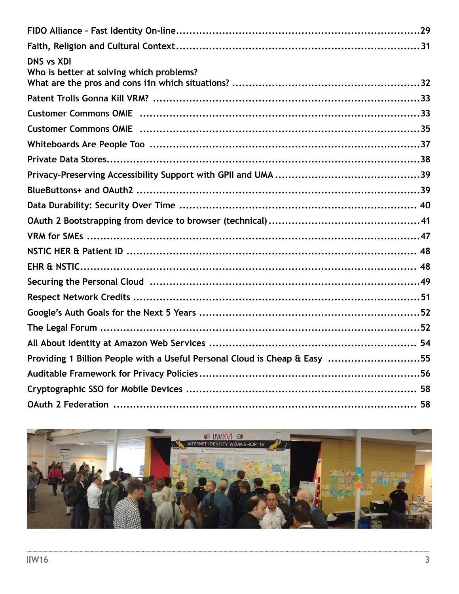| <b>DNS vs XDI</b><br>Who is better at solving which problems?              |
|----------------------------------------------------------------------------|
|                                                                            |
|                                                                            |
|                                                                            |
|                                                                            |
|                                                                            |
|                                                                            |
|                                                                            |
|                                                                            |
|                                                                            |
|                                                                            |
|                                                                            |
|                                                                            |
|                                                                            |
|                                                                            |
|                                                                            |
|                                                                            |
|                                                                            |
| Providing 1 Billion People with a Useful Personal Cloud is Cheap & Easy 55 |
|                                                                            |
|                                                                            |
|                                                                            |

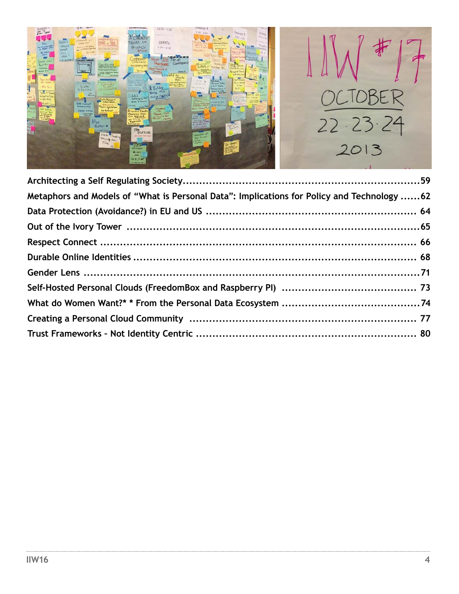

| Metaphors and Models of "What is Personal Data": Implications for Policy and Technology 62 |  |
|--------------------------------------------------------------------------------------------|--|
|                                                                                            |  |
|                                                                                            |  |
|                                                                                            |  |
|                                                                                            |  |
|                                                                                            |  |
|                                                                                            |  |
|                                                                                            |  |
|                                                                                            |  |
|                                                                                            |  |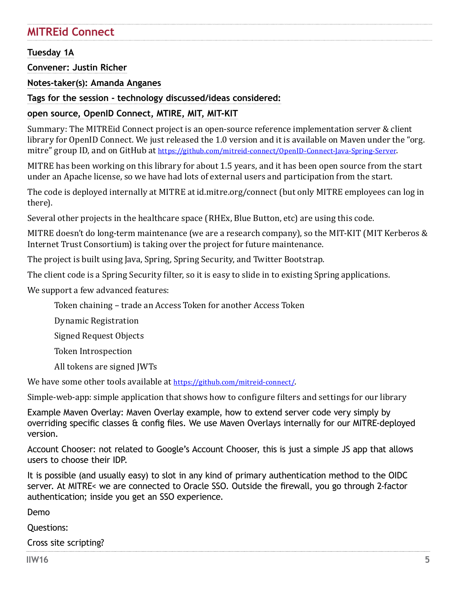# <span id="page-4-0"></span>**MITREid Connect**

## **Tuesday 1A**

**Convener: Justin Richer**

**Notes-taker(s): Amanda Anganes**

**Tags for the session - technology discussed/ideas considered:** 

## **open source, OpenID Connect, MTIRE, MIT, MIT-KIT**

Summary: The MITREid Connect project is an open-source reference implementation server & client library for OpenID Connect. We just released the 1.0 version and it is available on Maven under the "org. mitre" group ID, and on GitHub at [https://github.com/mitreid-connect/OpenID-Connect-Java-Spring-Server.](https://github.com/mitreid-connect/OpenID-Connect-Java-Spring-Server)

MITRE has been working on this library for about 1.5 years, and it has been open source from the start under an Apache license, so we have had lots of external users and participation from the start.

The code is deployed internally at MITRE at id.mitre.org/connect (but only MITRE employees can log in there).

Several other projects in the healthcare space (RHEx, Blue Button, etc) are using this code.

MITRE doesn't do long-term maintenance (we are a research company), so the MIT-KIT (MIT Kerberos & Internet Trust Consortium) is taking over the project for future maintenance.

The project is built using Java, Spring, Spring Security, and Twitter Bootstrap.

The client code is a Spring Security filter, so it is easy to slide in to existing Spring applications.

We support a few advanced features:

Token chaining – trade an Access Token for another Access Token

Dynamic Registration

Signed Request Objects

Token Introspection

All tokens are signed JWTs

We have some other tools available at [https://github.com/mitreid-connect/.](https://github.com/mitreid-connect/)

Simple-web-app: simple application that shows how to configure filters and settings for our library

Example Maven Overlay: Maven Overlay example, how to extend server code very simply by overriding specific classes & config files. We use Maven Overlays internally for our MITRE-deployed version.

Account Chooser: not related to Google's Account Chooser, this is just a simple JS app that allows users to choose their IDP.

It is possible (and usually easy) to slot in any kind of primary authentication method to the OIDC server. At MITRE< we are connected to Oracle SSO. Outside the firewall, you go through 2-factor authentication; inside you get an SSO experience.

Demo

Questions:

Cross site scripting?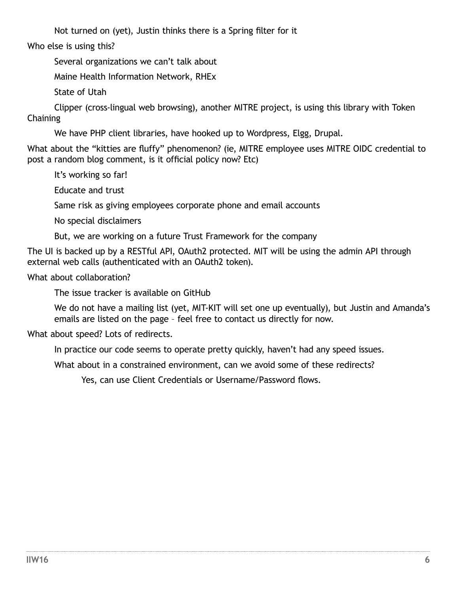Not turned on (yet), Justin thinks there is a Spring filter for it

Who else is using this?

Several organizations we can't talk about

Maine Health Information Network, RHEx

State of Utah

Clipper (cross-lingual web browsing), another MITRE project, is using this library with Token **Chaining** 

We have PHP client libraries, have hooked up to Wordpress, Elgg, Drupal.

What about the "kitties are fluffy" phenomenon? (ie, MITRE employee uses MITRE OIDC credential to post a random blog comment, is it official policy now? Etc)

It's working so far!

Educate and trust

Same risk as giving employees corporate phone and email accounts

No special disclaimers

But, we are working on a future Trust Framework for the company

The UI is backed up by a RESTful API, OAuth2 protected. MIT will be using the admin API through external web calls (authenticated with an OAuth2 token).

What about collaboration?

The issue tracker is available on GitHub

We do not have a mailing list (yet, MIT-KIT will set one up eventually), but Justin and Amanda's emails are listed on the page – feel free to contact us directly for now.

What about speed? Lots of redirects.

In practice our code seems to operate pretty quickly, haven't had any speed issues.

What about in a constrained environment, can we avoid some of these redirects?

Yes, can use Client Credentials or Username/Password flows.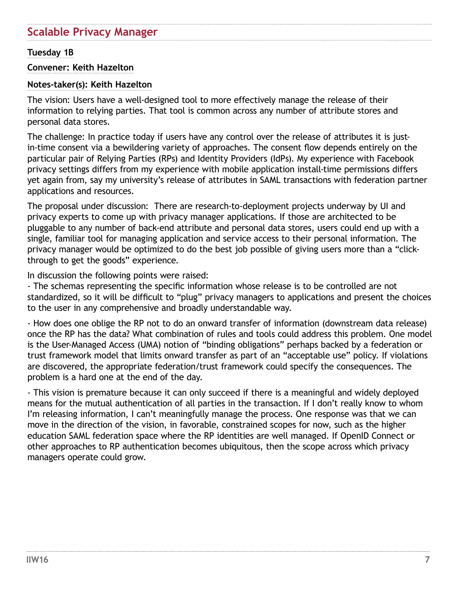# <span id="page-6-0"></span>**Scalable Privacy Manager**

#### **Tuesday 1B**

#### **Convener: Keith Hazelton**

#### **Notes-taker(s): Keith Hazelton**

The vision: Users have a well-designed tool to more effectively manage the release of their information to relying parties. That tool is common across any number of attribute stores and personal data stores.

The challenge: In practice today if users have any control over the release of attributes it is justin-time consent via a bewildering variety of approaches. The consent flow depends entirely on the particular pair of Relying Parties (RPs) and Identity Providers (IdPs). My experience with Facebook privacy settings differs from my experience with mobile application install-time permissions differs yet again from, say my university's release of attributes in SAML transactions with federation partner applications and resources.

The proposal under discussion: There are research-to-deployment projects underway by UI and privacy experts to come up with privacy manager applications. If those are architected to be pluggable to any number of back-end attribute and personal data stores, users could end up with a single, familiar tool for managing application and service access to their personal information. The privacy manager would be optimized to do the best job possible of giving users more than a "clickthrough to get the goods" experience.

In discussion the following points were raised:

- The schemas representing the specific information whose release is to be controlled are not standardized, so it will be difficult to "plug" privacy managers to applications and present the choices to the user in any comprehensive and broadly understandable way.

- How does one oblige the RP not to do an onward transfer of information (downstream data release) once the RP has the data? What combination of rules and tools could address this problem. One model is the User-Managed Access (UMA) notion of "binding obligations" perhaps backed by a federation or trust framework model that limits onward transfer as part of an "acceptable use" policy. If violations are discovered, the appropriate federation/trust framework could specify the consequences. The problem is a hard one at the end of the day.

- This vision is premature because it can only succeed if there is a meaningful and widely deployed means for the mutual authentication of all parties in the transaction. If I don't really know to whom I'm releasing information, I can't meaningfully manage the process. One response was that we can move in the direction of the vision, in favorable, constrained scopes for now, such as the higher education SAML federation space where the RP identities are well managed. If OpenID Connect or other approaches to RP authentication becomes ubiquitous, then the scope across which privacy managers operate could grow.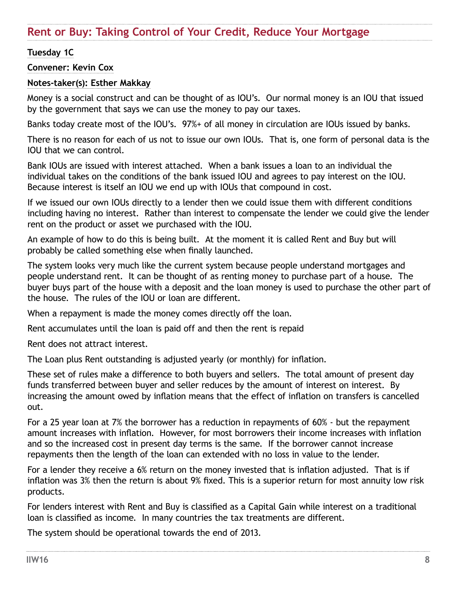## <span id="page-7-0"></span>**Tuesday 1C**

#### **Convener: Kevin Cox**

#### **Notes-taker(s): Esther Makkay**

Money is a social construct and can be thought of as IOU's. Our normal money is an IOU that issued by the government that says we can use the money to pay our taxes.

Banks today create most of the IOU's. 97%+ of all money in circulation are IOUs issued by banks.

There is no reason for each of us not to issue our own IOUs. That is, one form of personal data is the IOU that we can control.

Bank IOUs are issued with interest attached. When a bank issues a loan to an individual the individual takes on the conditions of the bank issued IOU and agrees to pay interest on the IOU. Because interest is itself an IOU we end up with IOUs that compound in cost.

If we issued our own IOUs directly to a lender then we could issue them with different conditions including having no interest. Rather than interest to compensate the lender we could give the lender rent on the product or asset we purchased with the IOU.

An example of how to do this is being built. At the moment it is called Rent and Buy but will probably be called something else when finally launched.

The system looks very much like the current system because people understand mortgages and people understand rent. It can be thought of as renting money to purchase part of a house. The buyer buys part of the house with a deposit and the loan money is used to purchase the other part of the house. The rules of the IOU or loan are different.

When a repayment is made the money comes directly off the loan.

Rent accumulates until the loan is paid off and then the rent is repaid

Rent does not attract interest.

The Loan plus Rent outstanding is adjusted yearly (or monthly) for inflation.

These set of rules make a difference to both buyers and sellers. The total amount of present day funds transferred between buyer and seller reduces by the amount of interest on interest. By increasing the amount owed by inflation means that the effect of inflation on transfers is cancelled out.

For a 25 year loan at 7% the borrower has a reduction in repayments of 60% - but the repayment amount increases with inflation. However, for most borrowers their income increases with inflation and so the increased cost in present day terms is the same. If the borrower cannot increase repayments then the length of the loan can extended with no loss in value to the lender.

For a lender they receive a 6% return on the money invested that is inflation adjusted. That is if inflation was 3% then the return is about 9% fixed. This is a superior return for most annuity low risk products.

For lenders interest with Rent and Buy is classified as a Capital Gain while interest on a traditional loan is classified as income. In many countries the tax treatments are different.

The system should be operational towards the end of 2013.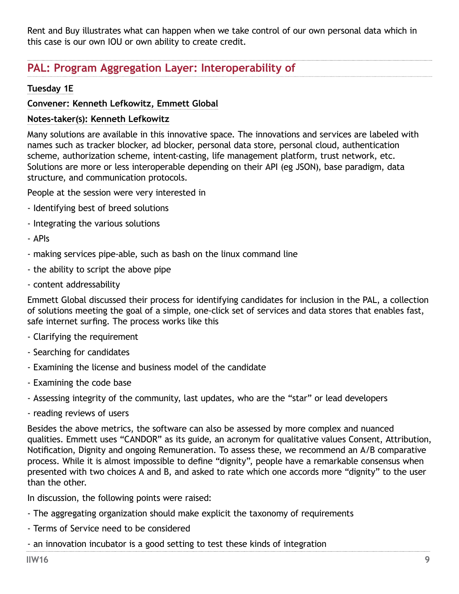<span id="page-8-0"></span>Rent and Buy illustrates what can happen when we take control of our own personal data which in this case is our own IOU or own ability to create credit.

# **PAL: Program Aggregation Layer: Interoperability of**

## **Tuesday 1E**

#### **Convener: Kenneth Lefkowitz, Emmett Global**

#### **Notes-taker(s): Kenneth Lefkowitz**

Many solutions are available in this innovative space. The innovations and services are labeled with names such as tracker blocker, ad blocker, personal data store, personal cloud, authentication scheme, authorization scheme, intent-casting, life management platform, trust network, etc. Solutions are more or less interoperable depending on their API (eg JSON), base paradigm, data structure, and communication protocols.

People at the session were very interested in

- Identifying best of breed solutions
- Integrating the various solutions
- APIs
- making services pipe-able, such as bash on the linux command line
- the ability to script the above pipe
- content addressability

Emmett Global discussed their process for identifying candidates for inclusion in the PAL, a collection of solutions meeting the goal of a simple, one-click set of services and data stores that enables fast, safe internet surfing. The process works like this

- Clarifying the requirement
- Searching for candidates
- Examining the license and business model of the candidate
- Examining the code base
- Assessing integrity of the community, last updates, who are the "star" or lead developers
- reading reviews of users

Besides the above metrics, the software can also be assessed by more complex and nuanced qualities. Emmett uses "CANDOR" as its guide, an acronym for qualitative values Consent, Attribution, Notification, Dignity and ongoing Remuneration. To assess these, we recommend an A/B comparative process. While it is almost impossible to define "dignity", people have a remarkable consensus when presented with two choices A and B, and asked to rate which one accords more "dignity" to the user than the other.

In discussion, the following points were raised:

- The aggregating organization should make explicit the taxonomy of requirements
- Terms of Service need to be considered
- an innovation incubator is a good setting to test these kinds of integration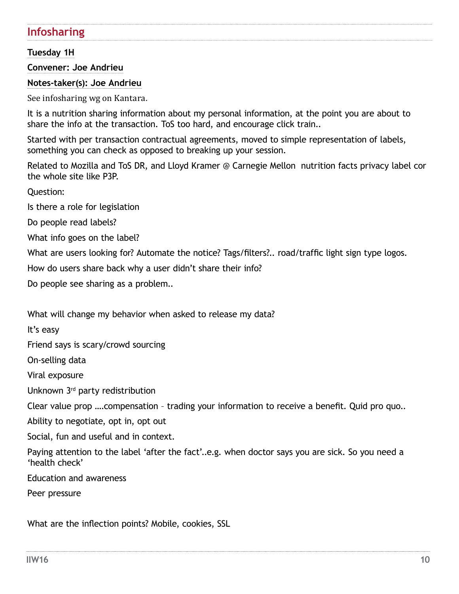# <span id="page-9-0"></span>**Infosharing**

## **Tuesday 1H**

**Convener: Joe Andrieu**

**Notes-taker(s): Joe Andrieu**

See infosharing wg on Kantara.

It is a nutrition sharing information about my personal information, at the point you are about to share the info at the transaction. ToS too hard, and encourage click train..

Started with per transaction contractual agreements, moved to simple representation of labels, something you can check as opposed to breaking up your session.

Related to Mozilla and ToS DR, and Lloyd Kramer @ Carnegie Mellon nutrition facts privacy label cor the whole site like P3P.

Question:

Is there a role for legislation

Do people read labels?

What info goes on the label?

What are users looking for? Automate the notice? Tags/filters?.. road/traffic light sign type logos.

How do users share back why a user didn't share their info?

Do people see sharing as a problem..

What will change my behavior when asked to release my data?

It's easy

Friend says is scary/crowd sourcing

On-selling data

Viral exposure

Unknown 3rd party redistribution

Clear value prop ….compensation – trading your information to receive a benefit. Quid pro quo..

Ability to negotiate, opt in, opt out

Social, fun and useful and in context.

Paying attention to the label 'after the fact'..e.g. when doctor says you are sick. So you need a 'health check'

Education and awareness

Peer pressure

What are the inflection points? Mobile, cookies, SSL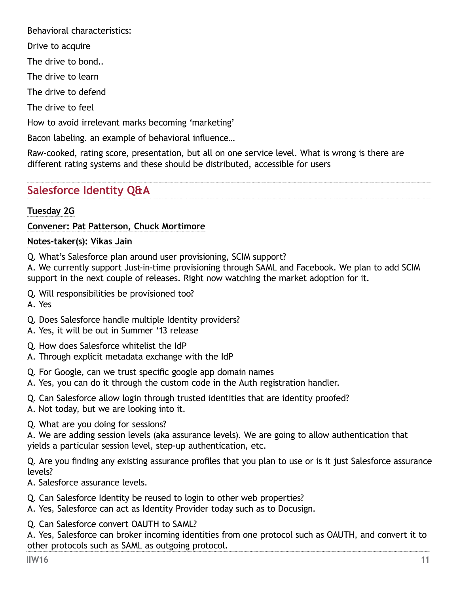<span id="page-10-0"></span>Behavioral characteristics:

Drive to acquire

The drive to bond..

The drive to learn

The drive to defend

The drive to feel

How to avoid irrelevant marks becoming 'marketing'

Bacon labeling. an example of behavioral influence…

Raw-cooked, rating score, presentation, but all on one service level. What is wrong is there are different rating systems and these should be distributed, accessible for users

# **Salesforce Identity Q&A**

## **Tuesday 2G**

## **Convener: Pat Patterson, Chuck Mortimore**

## **Notes-taker(s): Vikas Jain**

Q. What's Salesforce plan around user provisioning, SCIM support?

A. We currently support Just-in-time provisioning through SAML and Facebook. We plan to add SCIM support in the next couple of releases. Right now watching the market adoption for it.

- Q. Will responsibilities be provisioned too?
- A. Yes
- Q. Does Salesforce handle multiple Identity providers?
- A. Yes, it will be out in Summer '13 release
- Q. How does Salesforce whitelist the IdP
- A. Through explicit metadata exchange with the IdP
- Q. For Google, can we trust specific google app domain names
- A. Yes, you can do it through the custom code in the Auth registration handler.
- Q. Can Salesforce allow login through trusted identities that are identity proofed?
- A. Not today, but we are looking into it.

Q. What are you doing for sessions?

A. We are adding session levels (aka assurance levels). We are going to allow authentication that yields a particular session level, step-up authentication, etc.

Q. Are you finding any existing assurance profiles that you plan to use or is it just Salesforce assurance levels?

A. Salesforce assurance levels.

- Q. Can Salesforce Identity be reused to login to other web properties?
- A. Yes, Salesforce can act as Identity Provider today such as to Docusign.

Q. Can Salesforce convert OAUTH to SAML?

A. Yes, Salesforce can broker incoming identities from one protocol such as OAUTH, and convert it to other protocols such as SAML as outgoing protocol.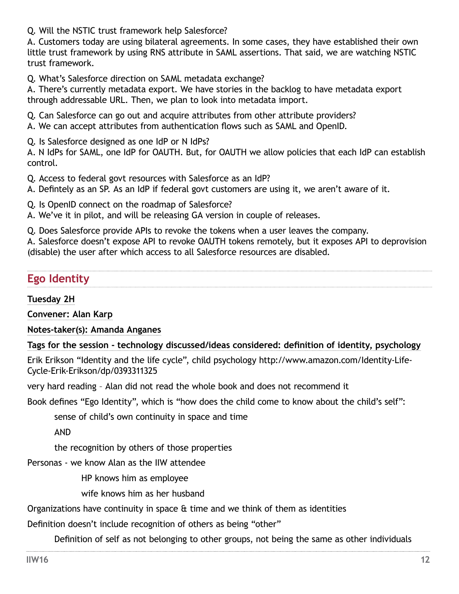<span id="page-11-0"></span>Q. Will the NSTIC trust framework help Salesforce?

A. Customers today are using bilateral agreements. In some cases, they have established their own little trust framework by using RNS attribute in SAML assertions. That said, we are watching NSTIC trust framework.

Q. What's Salesforce direction on SAML metadata exchange?

A. There's currently metadata export. We have stories in the backlog to have metadata export through addressable URL. Then, we plan to look into metadata import.

Q. Can Salesforce can go out and acquire attributes from other attribute providers?

A. We can accept attributes from authentication flows such as SAML and OpenID.

Q. Is Salesforce designed as one IdP or N IdPs?

A. N IdPs for SAML, one IdP for OAUTH. But, for OAUTH we allow policies that each IdP can establish control.

Q. Access to federal govt resources with Salesforce as an IdP?

A. Defintely as an SP. As an IdP if federal govt customers are using it, we aren't aware of it.

Q. Is OpenID connect on the roadmap of Salesforce?

A. We've it in pilot, and will be releasing GA version in couple of releases.

Q. Does Salesforce provide APIs to revoke the tokens when a user leaves the company.

A. Salesforce doesn't expose API to revoke OAUTH tokens remotely, but it exposes API to deprovision (disable) the user after which access to all Salesforce resources are disabled.

# **Ego Identity**

**Tuesday 2H**

**Convener: Alan Karp**

**Notes-taker(s): Amanda Anganes**

**Tags for the session - technology discussed/ideas considered: definition of identity, psychology**

Erik Erikson "Identity and the life cycle", child psychology [http://www.amazon.com/Identity-Life-](http://www.amazon.com/Identity-Life-Cycle-Erik-Erikson/dp/0393311325)[Cycle-Erik-Erikson/dp/0393311325](http://www.amazon.com/Identity-Life-Cycle-Erik-Erikson/dp/0393311325)

very hard reading – Alan did not read the whole book and does not recommend it

Book defines "Ego Identity", which is "how does the child come to know about the child's self":

sense of child's own continuity in space and time

AND

the recognition by others of those properties

Personas - we know Alan as the IIW attendee

HP knows him as employee

wife knows him as her husband

Organizations have continuity in space & time and we think of them as identities

Definition doesn't include recognition of others as being "other"

Definition of self as not belonging to other groups, not being the same as other individuals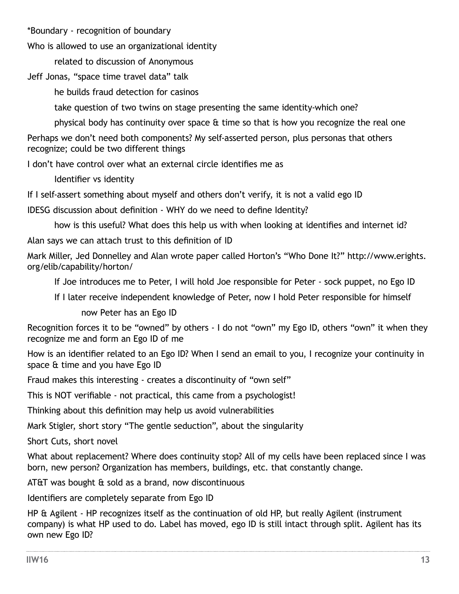\*Boundary - recognition of boundary

Who is allowed to use an organizational identity

related to discussion of Anonymous

Jeff Jonas, "space time travel data" talk

he builds fraud detection for casinos

take question of two twins on stage presenting the same identity-which one?

physical body has continuity over space & time so that is how you recognize the real one

Perhaps we don't need both components? My self-asserted person, plus personas that others recognize; could be two different things

I don't have control over what an external circle identifies me as

Identifier vs identity

If I self-assert something about myself and others don't verify, it is not a valid ego ID

IDESG discussion about definition - WHY do we need to define Identity?

how is this useful? What does this help us with when looking at identifies and internet id?

Alan says we can attach trust to this definition of ID

Mark Miller, Jed Donnelley and Alan wrote paper called Horton's "Who Done It?" [http://www.erights.](http://www.erights.org/elib/capability/horton/) [org/elib/capability/horton/](http://www.erights.org/elib/capability/horton/)

If Joe introduces me to Peter, I will hold Joe responsible for Peter - sock puppet, no Ego ID

If I later receive independent knowledge of Peter, now I hold Peter responsible for himself

now Peter has an Ego ID

Recognition forces it to be "owned" by others - I do not "own" my Ego ID, others "own" it when they recognize me and form an Ego ID of me

How is an identifier related to an Ego ID? When I send an email to you, I recognize your continuity in space & time and you have Ego ID

Fraud makes this interesting - creates a discontinuity of "own self"

This is NOT verifiable - not practical, this came from a psychologist!

Thinking about this definition may help us avoid vulnerabilities

Mark Stigler, short story "The gentle seduction", about the singularity

Short Cuts, short novel

What about replacement? Where does continuity stop? All of my cells have been replaced since I was born, new person? Organization has members, buildings, etc. that constantly change.

AT&T was bought & sold as a brand, now discontinuous

Identifiers are completely separate from Ego ID

HP & Agilent - HP recognizes itself as the continuation of old HP, but really Agilent (instrument company) is what HP used to do. Label has moved, ego ID is still intact through split. Agilent has its own new Ego ID?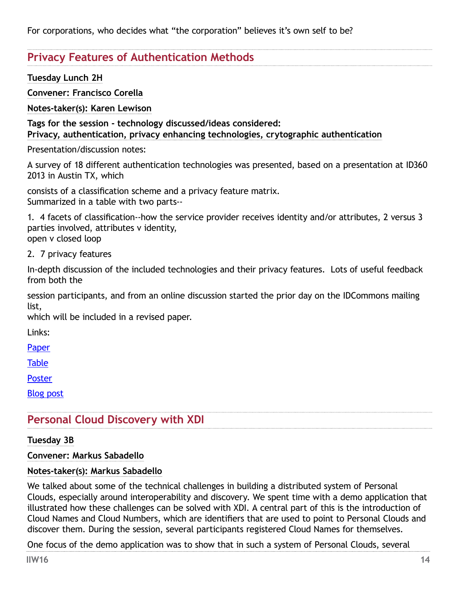<span id="page-13-0"></span>For corporations, who decides what "the corporation" believes it's own self to be?

# **Privacy Features of Authentication Methods**

**Tuesday Lunch 2H** 

**Convener: Francisco Corella**

**Notes-taker(s): Karen Lewison**

**Tags for the session - technology discussed/ideas considered: Privacy, authentication, privacy enhancing technologies, crytographic authentication**

Presentation/discussion notes:

A survey of 18 different authentication technologies was presented, based on a presentation at ID360 2013 in Austin TX, which

consists of a classification scheme and a privacy feature matrix. Summarized in a table with two parts--

1. 4 facets of classification--how the service provider receives identity and/or attributes, 2 versus 3 parties involved, attributes v identity,

open v closed loop

2. 7 privacy features

In-depth discussion of the included technologies and their privacy features. Lots of useful feedback from both the

session participants, and from an online discussion started the prior day on the IDCommons mailing list,

which will be included in a revised paper.

Links:

[Paper](https://pomcor.com/techreports/PrivacyPostures.pdf)

[Table](https://pomcor.com/documents/PrivacyPosturesFlyer.pdf)

[Poster](https://pomcor.com/documents/PrivacyPosturesPoster.pdf)

[Blog post](https://pomcor.com/2013/05/05/comparing-the-privacy-features-of-eighteen-authentication-technologies/)

# **Personal Cloud Discovery with XDI**

#### **Tuesday 3B**

**Convener: Markus Sabadello**

#### **Notes-taker(s): Markus Sabadello**

We talked about some of the technical challenges in building a distributed system of Personal Clouds, especially around interoperability and discovery. We spent time with a demo application that illustrated how these challenges can be solved with XDI. A central part of this is the introduction of Cloud Names and Cloud Numbers, which are identifiers that are used to point to Personal Clouds and discover them. During the session, several participants registered Cloud Names for themselves.

One focus of the demo application was to show that in such a system of Personal Clouds, several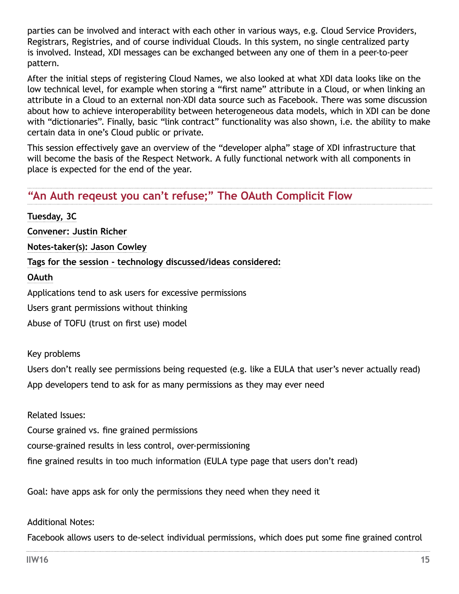<span id="page-14-0"></span>parties can be involved and interact with each other in various ways, e.g. Cloud Service Providers, Registrars, Registries, and of course individual Clouds. In this system, no single centralized party is involved. Instead, XDI messages can be exchanged between any one of them in a peer-to-peer pattern.

After the initial steps of registering Cloud Names, we also looked at what XDI data looks like on the low technical level, for example when storing a "first name" attribute in a Cloud, or when linking an attribute in a Cloud to an external non-XDI data source such as Facebook. There was some discussion about how to achieve interoperability between heterogeneous data models, which in XDI can be done with "dictionaries". Finally, basic "link contract" functionality was also shown, i.e. the ability to make certain data in one's Cloud public or private.

This session effectively gave an overview of the "developer alpha" stage of XDI infrastructure that will become the basis of the Respect Network. A fully functional network with all components in place is expected for the end of the year.

# **"An Auth reqeust you can't refuse;" The OAuth Complicit Flow**

**Tuesday, 3C Convener: Justin Richer Notes-taker(s): Jason Cowley Tags for the session - technology discussed/ideas considered: OAuth** Applications tend to ask users for excessive permissions Users grant permissions without thinking Abuse of TOFU (trust on first use) model

Key problems

Users don't really see permissions being requested (e.g. like a EULA that user's never actually read) App developers tend to ask for as many permissions as they may ever need

Related Issues: Course grained vs. fine grained permissions course-grained results in less control, over-permissioning fine grained results in too much information (EULA type page that users don't read)

Goal: have apps ask for only the permissions they need when they need it

Additional Notes:

Facebook allows users to de-select individual permissions, which does put some fine grained control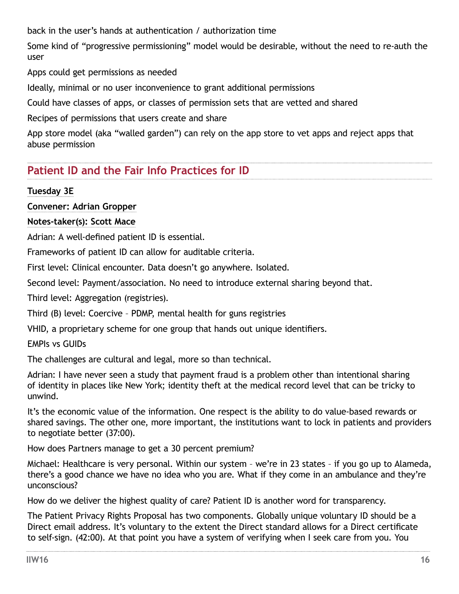<span id="page-15-0"></span>back in the user's hands at authentication / authorization time

Some kind of "progressive permissioning" model would be desirable, without the need to re-auth the user

Apps could get permissions as needed

Ideally, minimal or no user inconvenience to grant additional permissions

Could have classes of apps, or classes of permission sets that are vetted and shared

Recipes of permissions that users create and share

App store model (aka "walled garden") can rely on the app store to vet apps and reject apps that abuse permission

# **Patient ID and the Fair Info Practices for ID**

## **Tuesday 3E**

**Convener: Adrian Gropper**

## **Notes-taker(s): Scott Mace**

Adrian: A well-defined patient ID is essential.

Frameworks of patient ID can allow for auditable criteria.

First level: Clinical encounter. Data doesn't go anywhere. Isolated.

Second level: Payment/association. No need to introduce external sharing beyond that.

Third level: Aggregation (registries).

Third (B) level: Coercive – PDMP, mental health for guns registries

VHID, a proprietary scheme for one group that hands out unique identifiers.

## EMPIs vs GUIDs

The challenges are cultural and legal, more so than technical.

Adrian: I have never seen a study that payment fraud is a problem other than intentional sharing of identity in places like New York; identity theft at the medical record level that can be tricky to unwind.

It's the economic value of the information. One respect is the ability to do value-based rewards or shared savings. The other one, more important, the institutions want to lock in patients and providers to negotiate better (37:00).

How does Partners manage to get a 30 percent premium?

Michael: Healthcare is very personal. Within our system – we're in 23 states – if you go up to Alameda, there's a good chance we have no idea who you are. What if they come in an ambulance and they're unconscious?

How do we deliver the highest quality of care? Patient ID is another word for transparency.

The Patient Privacy Rights Proposal has two components. Globally unique voluntary ID should be a Direct email address. It's voluntary to the extent the Direct standard allows for a Direct certificate to self-sign. (42:00). At that point you have a system of verifying when I seek care from you. You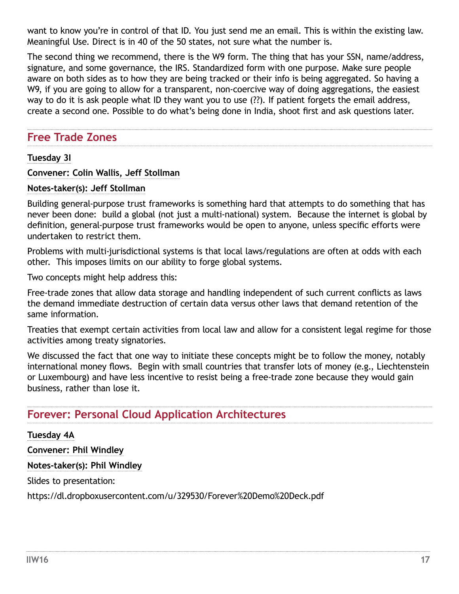<span id="page-16-0"></span>want to know you're in control of that ID. You just send me an email. This is within the existing law. Meaningful Use. Direct is in 40 of the 50 states, not sure what the number is.

The second thing we recommend, there is the W9 form. The thing that has your SSN, name/address, signature, and some governance, the IRS. Standardized form with one purpose. Make sure people aware on both sides as to how they are being tracked or their info is being aggregated. So having a W9, if you are going to allow for a transparent, non-coercive way of doing aggregations, the easiest way to do it is ask people what ID they want you to use (??). If patient forgets the email address, create a second one. Possible to do what's being done in India, shoot first and ask questions later.

## **Free Trade Zones**

#### **Tuesday 3I**

**Convener: Colin Wallis, Jeff Stollman**

#### **Notes-taker(s): Jeff Stollman**

Building general-purpose trust frameworks is something hard that attempts to do something that has never been done: build a global (not just a multi-national) system. Because the internet is global by definition, general-purpose trust frameworks would be open to anyone, unless specific efforts were undertaken to restrict them.

Problems with multi-jurisdictional systems is that local laws/regulations are often at odds with each other. This imposes limits on our ability to forge global systems.

Two concepts might help address this:

Free-trade zones that allow data storage and handling independent of such current conflicts as laws the demand immediate destruction of certain data versus other laws that demand retention of the same information.

Treaties that exempt certain activities from local law and allow for a consistent legal regime for those activities among treaty signatories.

We discussed the fact that one way to initiate these concepts might be to follow the money, notably international money flows. Begin with small countries that transfer lots of money (e.g., Liechtenstein or Luxembourg) and have less incentive to resist being a free-trade zone because they would gain business, rather than lose it.

# **Forever: Personal Cloud Application Architectures**

#### **Tuesday 4A**

**Convener: Phil Windley**

**Notes-taker(s): Phil Windley**

Slides to presentation:

[https://dl.dropboxusercontent.com/u/329530/Forever%20Demo%20Deck.pdf](https://dl.dropboxusercontent.com/u/329530/Forever Demo Deck.pdf)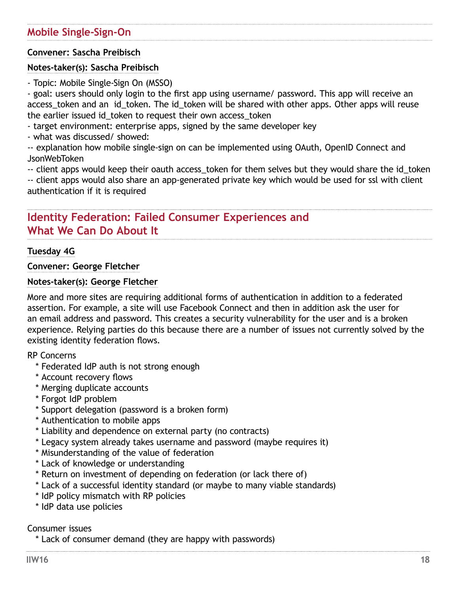## <span id="page-17-0"></span>**Convener: Sascha Preibisch**

#### **Notes-taker(s): Sascha Preibisch**

- Topic: Mobile Single-Sign On (MSSO)

- goal: users should only login to the first app using username/ password. This app will receive an access token and an id token. The id token will be shared with other apps. Other apps will reuse the earlier issued id\_token to request their own access\_token

- target environment: enterprise apps, signed by the same developer key

- what was discussed/ showed:

-- explanation how mobile single-sign on can be implemented using OAuth, OpenID Connect and JsonWebToken

-- client apps would keep their oauth access token for them selves but they would share the id token

-- client apps would also share an app-generated private key which would be used for ssl with client authentication if it is required

# **Identity Federation: Failed Consumer Experiences and What We Can Do About It**

#### **Tuesday 4G**

**Convener: George Fletcher**

#### **Notes-taker(s): George Fletcher**

More and more sites are requiring additional forms of authentication in addition to a federated assertion. For example, a site will use Facebook Connect and then in addition ask the user for an email address and password. This creates a security vulnerability for the user and is a broken experience. Relying parties do this because there are a number of issues not currently solved by the existing identity federation flows.

RP Concerns

- \* Federated IdP auth is not strong enough
- \* Account recovery flows
- \* Merging duplicate accounts
- \* Forgot IdP problem
- \* Support delegation (password is a broken form)
- \* Authentication to mobile apps
- \* Liability and dependence on external party (no contracts)
- \* Legacy system already takes username and password (maybe requires it)
- \* Misunderstanding of the value of federation
- \* Lack of knowledge or understanding
- \* Return on investment of depending on federation (or lack there of)
- \* Lack of a successful identity standard (or maybe to many viable standards)
- \* IdP policy mismatch with RP policies
- \* IdP data use policies

#### Consumer issues

\* Lack of consumer demand (they are happy with passwords)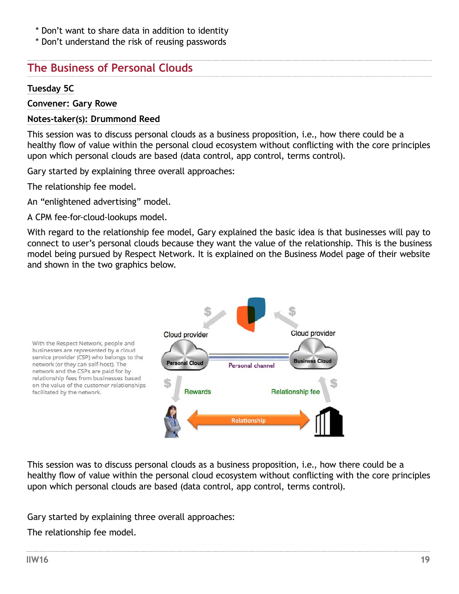- <span id="page-18-0"></span>\* Don't want to share data in addition to identity
- \* Don't understand the risk of reusing passwords

## **The Business of Personal Clouds**

#### **Tuesday 5C**

#### **Convener: Gary Rowe**

#### **Notes-taker(s): Drummond Reed**

This session was to discuss personal clouds as a business proposition, i.e., how there could be a healthy flow of value within the personal cloud ecosystem without conflicting with the core principles upon which personal clouds are based (data control, app control, terms control).

Gary started by explaining three overall approaches:

The relationship fee model.

An "enlightened advertising" model.

A CPM fee-for-cloud-lookups model.

With regard to the relationship fee model, Gary explained the basic idea is that businesses will pay to connect to user's personal clouds because they want the value of the relationship. This is the business model being pursued by [Respect Network](http://respectnetwork.com/). It is explained on the [Business Model page](http://respectnetwork.com/business-model/) of their website and shown in the two graphics below.



This session was to discuss personal clouds as a business proposition, i.e., how there could be a healthy flow of value within the personal cloud ecosystem without conflicting with the core principles upon which personal clouds are based (data control, app control, terms control).

Gary started by explaining three overall approaches:

The relationship fee model.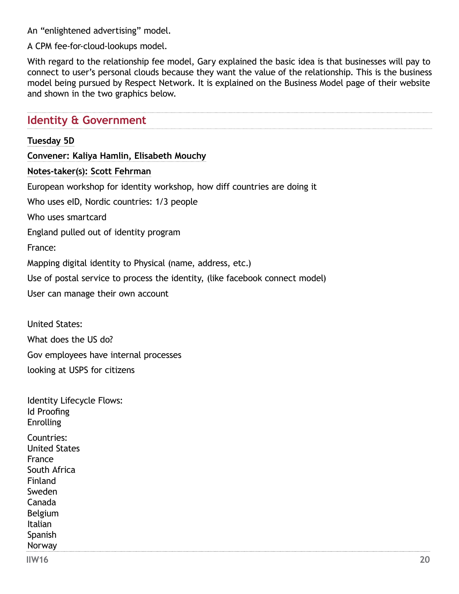<span id="page-19-0"></span>An "enlightened advertising" model.

A CPM fee-for-cloud-lookups model.

With regard to the relationship fee model, Gary explained the basic idea is that businesses will pay to connect to user's personal clouds because they want the value of the relationship. This is the business model being pursued by [Respect Network](http://respectnetwork.com/). It is explained on the [Business Model page](http://respectnetwork.com/business-model/) of their website and shown in the two graphics below.

## **Identity & Government**

#### **Tuesday 5D**

**Convener: Kaliya Hamlin, Elisabeth Mouchy Notes-taker(s): Scott Fehrman** European workshop for identity workshop, how diff countries are doing it Who uses eID, Nordic countries: 1/3 people Who uses smartcard England pulled out of identity program France: Mapping digital identity to Physical (name, address, etc.) Use of postal service to process the identity, (like facebook connect model) User can manage their own account

United States: What does the US do? Gov employees have internal processes looking at USPS for citizens

| Countries:<br><b>United States</b><br>France<br>South Africa<br>Finland<br>Sweden<br>Canada<br>Belgium<br>Italian<br>Spanish<br>Norway | Identity Lifecycle Flows:<br>Id Proofing<br><b>Enrolling</b> |  |
|----------------------------------------------------------------------------------------------------------------------------------------|--------------------------------------------------------------|--|
|                                                                                                                                        |                                                              |  |
|                                                                                                                                        |                                                              |  |
|                                                                                                                                        |                                                              |  |
|                                                                                                                                        |                                                              |  |
|                                                                                                                                        |                                                              |  |
|                                                                                                                                        |                                                              |  |
|                                                                                                                                        |                                                              |  |
|                                                                                                                                        |                                                              |  |
|                                                                                                                                        |                                                              |  |
|                                                                                                                                        |                                                              |  |
|                                                                                                                                        |                                                              |  |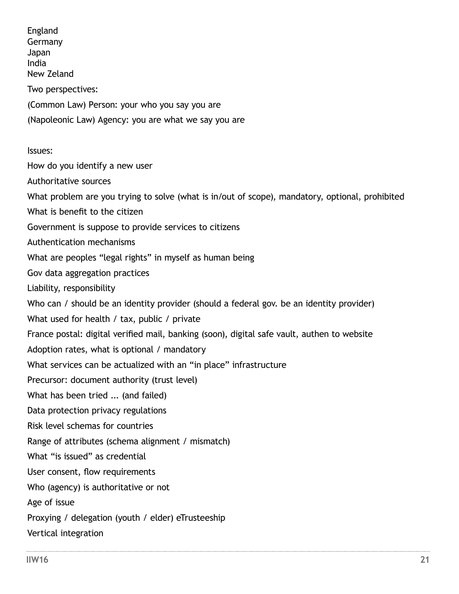England Germany Japan India New Zeland Two perspectives: (Common Law) Person: your who you say you are (Napoleonic Law) Agency: you are what we say you are Issues: How do you identify a new user Authoritative sources What problem are you trying to solve (what is in/out of scope), mandatory, optional, prohibited What is benefit to the citizen Government is suppose to provide services to citizens Authentication mechanisms What are peoples "legal rights" in myself as human being Gov data aggregation practices Liability, responsibility Who can / should be an identity provider (should a federal gov. be an identity provider) What used for health / tax, public / private France postal: digital verified mail, banking (soon), digital safe vault, authen to website Adoption rates, what is optional / mandatory What services can be actualized with an "in place" infrastructure Precursor: document authority (trust level) What has been tried ... (and failed) Data protection privacy regulations Risk level schemas for countries Range of attributes (schema alignment / mismatch) What "is issued" as credential User consent, flow requirements Who (agency) is authoritative or not Age of issue Proxying / delegation (youth / elder) eTrusteeship Vertical integration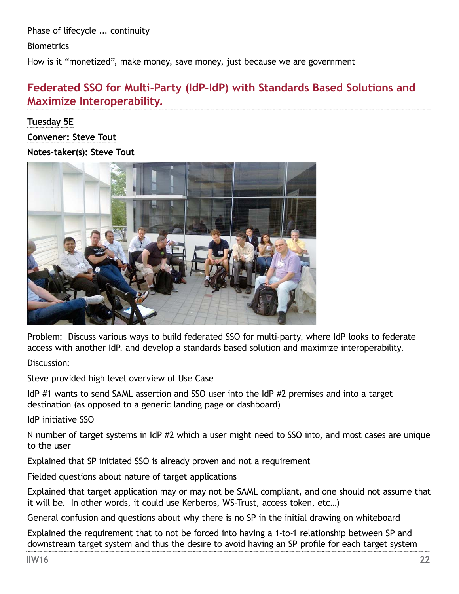<span id="page-21-0"></span>Phase of lifecycle ... continuity

**Biometrics** 

How is it "monetized", make money, save money, just because we are government

# **Federated SSO for Multi-Party (IdP-IdP) with Standards Based Solutions and Maximize Interoperability.**

**Tuesday 5E Convener: Steve Tout Notes-taker(s): Steve Tout**



Problem: Discuss various ways to build federated SSO for multi-party, where IdP looks to federate access with another IdP, and develop a standards based solution and maximize interoperability.

Discussion:

Steve provided high level overview of Use Case

IdP #1 wants to send SAML assertion and SSO user into the IdP #2 premises and into a target destination (as opposed to a generic landing page or dashboard)

IdP initiative SSO

N number of target systems in IdP #2 which a user might need to SSO into, and most cases are unique to the user

Explained that SP initiated SSO is already proven and not a requirement

Fielded questions about nature of target applications

Explained that target application may or may not be SAML compliant, and one should not assume that it will be. In other words, it could use Kerberos, WS-Trust, access token, etc…)

General confusion and questions about why there is no SP in the initial drawing on whiteboard

Explained the requirement that to not be forced into having a 1-to-1 relationship between SP and downstream target system and thus the desire to avoid having an SP profile for each target system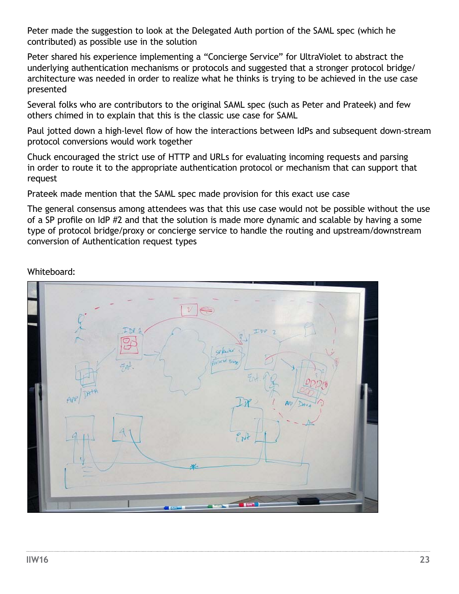Peter made the suggestion to look at the Delegated Auth portion of the SAML spec (which he contributed) as possible use in the solution

Peter shared his experience implementing a "Concierge Service" for UltraViolet to abstract the underlying authentication mechanisms or protocols and suggested that a stronger protocol bridge/ architecture was needed in order to realize what he thinks is trying to be achieved in the use case presented

Several folks who are contributors to the original SAML spec (such as Peter and Prateek) and few others chimed in to explain that this is the classic use case for SAML

Paul jotted down a high-level flow of how the interactions between IdPs and subsequent down-stream protocol conversions would work together

Chuck encouraged the strict use of HTTP and URLs for evaluating incoming requests and parsing in order to route it to the appropriate authentication protocol or mechanism that can support that request

Prateek made mention that the SAML spec made provision for this exact use case

The general consensus among attendees was that this use case would not be possible without the use of a SP profile on IdP #2 and that the solution is made more dynamic and scalable by having a some type of protocol bridge/proxy or concierge service to handle the routing and upstream/downstream conversion of Authentication request types

Whiteboard:

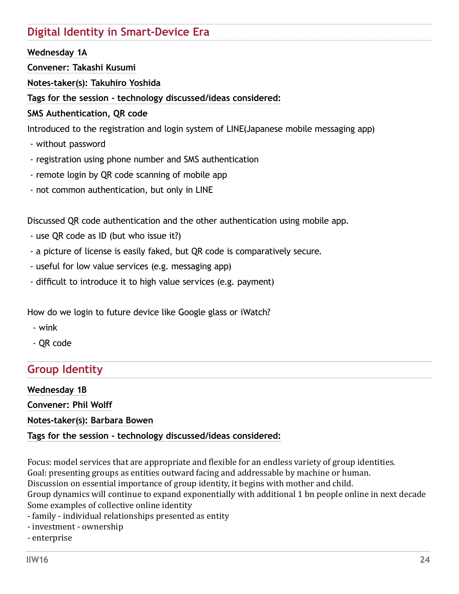# <span id="page-23-0"></span>**Digital Identity in Smart-Device Era**

## **Wednesday 1A**

**Convener: Takashi Kusumi**

**Notes-taker(s): Takuhiro Yoshida**

**Tags for the session - technology discussed/ideas considered:** 

## **SMS Authentication, QR code**

Introduced to the registration and login system of LINE(Japanese mobile messaging app)

- without password
- registration using phone number and SMS authentication
- remote login by QR code scanning of mobile app
- not common authentication, but only in LINE

Discussed QR code authentication and the other authentication using mobile app.

- use QR code as ID (but who issue it?)
- a picture of license is easily faked, but QR code is comparatively secure.
- useful for low value services (e.g. messaging app)
- difficult to introduce it to high value services (e.g. payment)

How do we login to future device like Google glass or iWatch?

- wink
- QR code

# **Group Identity**

**Wednesday 1B Convener: Phil Wolff Notes-taker(s): Barbara Bowen Tags for the session - technology discussed/ideas considered:** 

Focus: model services that are appropriate and flexible for an endless variety of group identities. Goal: presenting groups as entities outward facing and addressable by machine or human. Discussion on essential importance of group identity, it begins with mother and child. Group dynamics will continue to expand exponentially with additional 1 bn people online in next decade Some examples of collective online identity

- family individual relationships presented as entity
- investment ownership
- enterprise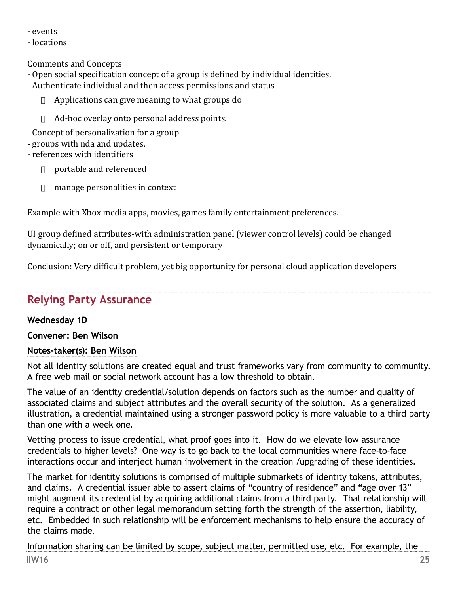<span id="page-24-0"></span>- events

- locations

Comments and Concepts

- Open social specification concept of a group is defined by individual identities.
- Authenticate individual and then access permissions and status
	- $\Box$  Applications can give meaning to what groups do
	- $\Box$  Ad-hoc overlay onto personal address points.
- Concept of personalization for a group
- groups with nda and updates.
- references with identifiers
	- $\Box$  portable and referenced
	- $\Box$  manage personalities in context

Example with Xbox media apps, movies, games family entertainment preferences.

UI group defined attributes-with administration panel (viewer control levels) could be changed dynamically; on or off, and persistent or temporary

Conclusion: Very difficult problem, yet big opportunity for personal cloud application developers

# **Relying Party Assurance**

# **Wednesday 1D**

# **Convener: Ben Wilson**

# **Notes-taker(s): Ben Wilson**

Not all identity solutions are created equal and trust frameworks vary from community to community. A free web mail or social network account has a low threshold to obtain.

The value of an identity credential/solution depends on factors such as the number and quality of associated claims and subject attributes and the overall security of the solution. As a generalized illustration, a credential maintained using a stronger password policy is more valuable to a third party than one with a week one.

Vetting process to issue credential, what proof goes into it. How do we elevate low assurance credentials to higher levels? One way is to go back to the local communities where face-to-face interactions occur and interject human involvement in the creation /upgrading of these identities.

The market for identity solutions is comprised of multiple submarkets of identity tokens, attributes, and claims. A credential issuer able to assert claims of "country of residence" and "age over 13" might augment its credential by acquiring additional claims from a third party. That relationship will require a contract or other legal memorandum setting forth the strength of the assertion, liability, etc. Embedded in such relationship will be enforcement mechanisms to help ensure the accuracy of the claims made.

Information sharing can be limited by scope, subject matter, permitted use, etc. For example, the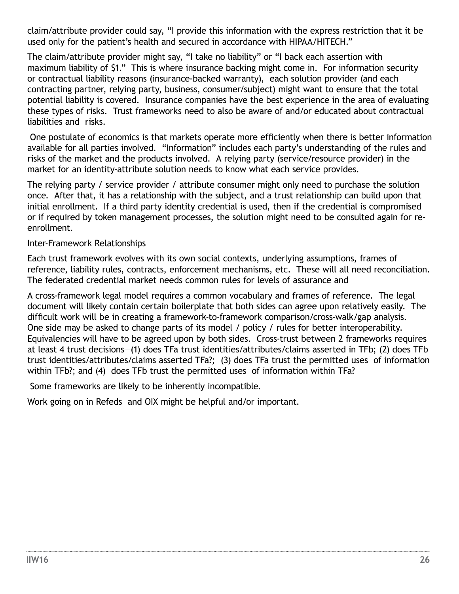claim/attribute provider could say, "I provide this information with the express restriction that it be used only for the patient's health and secured in accordance with HIPAA/HITECH."

The claim/attribute provider might say, "I take no liability" or "I back each assertion with maximum liability of \$1." This is where insurance backing might come in. For information security or contractual liability reasons (insurance-backed warranty), each solution provider (and each contracting partner, relying party, business, consumer/subject) might want to ensure that the total potential liability is covered. Insurance companies have the best experience in the area of evaluating these types of risks. Trust frameworks need to also be aware of and/or educated about contractual liabilities and risks.

 One postulate of economics is that markets operate more efficiently when there is better information available for all parties involved. "Information" includes each party's understanding of the rules and risks of the market and the products involved. A relying party (service/resource provider) in the market for an identity-attribute solution needs to know what each service provides.

The relying party / service provider / attribute consumer might only need to purchase the solution once. After that, it has a relationship with the subject, and a trust relationship can build upon that initial enrollment. If a third party identity credential is used, then if the credential is compromised or if required by token management processes, the solution might need to be consulted again for reenrollment.

Inter-Framework Relationships

Each trust framework evolves with its own social contexts, underlying assumptions, frames of reference, liability rules, contracts, enforcement mechanisms, etc. These will all need reconciliation. The federated credential market needs common rules for levels of assurance and

A cross-framework legal model requires a common vocabulary and frames of reference. The legal document will likely contain certain boilerplate that both sides can agree upon relatively easily. The difficult work will be in creating a framework-to-framework comparison/cross-walk/gap analysis. One side may be asked to change parts of its model / policy / rules for better interoperability. Equivalencies will have to be agreed upon by both sides. Cross-trust between 2 frameworks requires at least 4 trust decisions—(1) does TFa trust identities/attributes/claims asserted in TFb; (2) does TFb trust identities/attributes/claims asserted TFa?; (3) does TFa trust the permitted uses of information within TFb?; and (4) does TFb trust the permitted uses of information within TFa?

Some frameworks are likely to be inherently incompatible.

Work going on in Refeds and OIX might be helpful and/or important.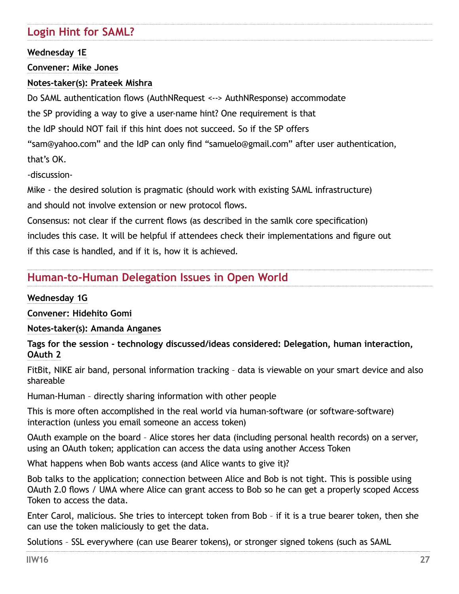# <span id="page-26-0"></span>**Login Hint for SAML?**

**Wednesday 1E**

**Convener: Mike Jones**

## **Notes-taker(s): Prateek Mishra**

Do SAML authentication flows (AuthNRequest <--> AuthNResponse) accommodate

the SP providing a way to give a user-name hint? One requirement is that

the IdP should NOT fail if this hint does not succeed. So if the SP offers

"sam@yahoo.com" and the IdP can only find "samuelo@gmail.com" after user authentication, that's OK.

-discussion-

Mike - the desired solution is pragmatic (should work with existing SAML infrastructure) and should not involve extension or new protocol flows.

Consensus: not clear if the current flows (as described in the samlk core specification) includes this case. It will be helpful if attendees check their implementations and figure out if this case is handled, and if it is, how it is achieved.

# **Human-to-Human Delegation Issues in Open World**

## **Wednesday 1G**

**Convener: Hidehito Gomi**

**Notes-taker(s): Amanda Anganes**

**Tags for the session - technology discussed/ideas considered: Delegation, human interaction, OAuth 2**

FitBit, NIKE air band, personal information tracking – data is viewable on your smart device and also shareable

Human-Human – directly sharing information with other people

This is more often accomplished in the real world via human-software (or software-software) interaction (unless you email someone an access token)

OAuth example on the board – Alice stores her data (including personal health records) on a server, using an OAuth token; application can access the data using another Access Token

What happens when Bob wants access (and Alice wants to give it)?

Bob talks to the application; connection between Alice and Bob is not tight. This is possible using OAuth 2.0 flows / UMA where Alice can grant access to Bob so he can get a properly scoped Access Token to access the data.

Enter Carol, malicious. She tries to intercept token from Bob – if it is a true bearer token, then she can use the token maliciously to get the data.

Solutions – SSL everywhere (can use Bearer tokens), or stronger signed tokens (such as SAML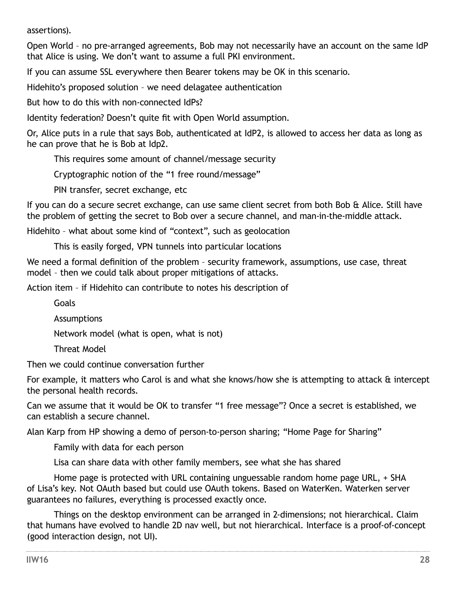assertions).

Open World – no pre-arranged agreements, Bob may not necessarily have an account on the same IdP that Alice is using. We don't want to assume a full PKI environment.

If you can assume SSL everywhere then Bearer tokens may be OK in this scenario.

Hidehito's proposed solution – we need delagatee authentication

But how to do this with non-connected IdPs?

Identity federation? Doesn't quite fit with Open World assumption.

Or, Alice puts in a rule that says Bob, authenticated at IdP2, is allowed to access her data as long as he can prove that he is Bob at Idp2.

This requires some amount of channel/message security

Cryptographic notion of the "1 free round/message"

PIN transfer, secret exchange, etc

If you can do a secure secret exchange, can use same client secret from both Bob & Alice. Still have the problem of getting the secret to Bob over a secure channel, and man-in-the-middle attack.

Hidehito – what about some kind of "context", such as geolocation

This is easily forged, VPN tunnels into particular locations

We need a formal definition of the problem - security framework, assumptions, use case, threat model – then we could talk about proper mitigations of attacks.

Action item – if Hidehito can contribute to notes his description of

Goals

**Assumptions** 

Network model (what is open, what is not)

Threat Model

Then we could continue conversation further

For example, it matters who Carol is and what she knows/how she is attempting to attack & intercept the personal health records.

Can we assume that it would be OK to transfer "1 free message"? Once a secret is established, we can establish a secure channel.

Alan Karp from HP showing a demo of person-to-person sharing; "Home Page for Sharing"

Family with data for each person

Lisa can share data with other family members, see what she has shared

Home page is protected with URL containing unguessable random home page URL, + SHA of Lisa's key. Not OAuth based but could use OAuth tokens. Based on WaterKen. Waterken server guarantees no failures, everything is processed exactly once.

Things on the desktop environment can be arranged in 2-dimensions; not hierarchical. Claim that humans have evolved to handle 2D nav well, but not hierarchical. Interface is a proof-of-concept (good interaction design, not UI).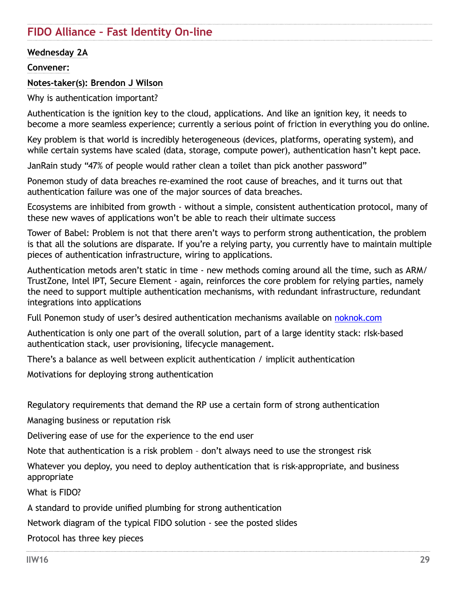# <span id="page-28-0"></span>**FIDO Alliance – Fast Identity On-line**

#### **Wednesday 2A**

#### **Convener:**

#### **Notes-taker(s): Brendon J Wilson**

Why is authentication important?

Authentication is the ignition key to the cloud, applications. And like an ignition key, it needs to become a more seamless experience; currently a serious point of friction in everything you do online.

Key problem is that world is incredibly heterogeneous (devices, platforms, operating system), and while certain systems have scaled (data, storage, compute power), authentication hasn't kept pace.

JanRain study "47% of people would rather clean a toilet than pick another password"

Ponemon study of data breaches re-examined the root cause of breaches, and it turns out that authentication failure was one of the major sources of data breaches.

Ecosystems are inhibited from growth - without a simple, consistent authentication protocol, many of these new waves of applications won't be able to reach their ultimate success

Tower of Babel: Problem is not that there aren't ways to perform strong authentication, the problem is that all the solutions are disparate. If you're a relying party, you currently have to maintain multiple pieces of authentication infrastructure, wiring to applications.

Authentication metods aren't static in time - new methods coming around all the time, such as ARM/ TrustZone, Intel IPT, Secure Element - again, reinforces the core problem for relying parties, namely the need to support multiple authentication mechanisms, with redundant infrastructure, redundant integrations into applications

Full Ponemon study of user's desired authentication mechanisms available on [noknok.com](http://noknok.com)

Authentication is only one part of the overall solution, part of a large identity stack: rIsk-based authentication stack, user provisioning, lifecycle management.

There's a balance as well between explicit authentication / implicit authentication

Motivations for deploying strong authentication

Regulatory requirements that demand the RP use a certain form of strong authentication

Managing business or reputation risk

Delivering ease of use for the experience to the end user

Note that authentication is a risk problem – don't always need to use the strongest risk

Whatever you deploy, you need to deploy authentication that is risk-appropriate, and business appropriate

What is FIDO?

A standard to provide unified plumbing for strong authentication

Network diagram of the typical FIDO solution - see the posted slides

Protocol has three key pieces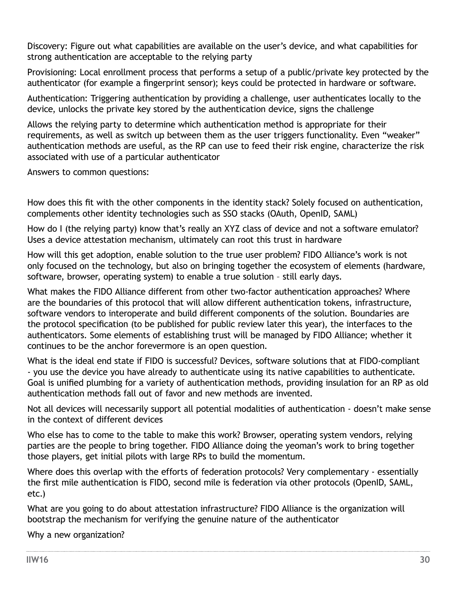Discovery: Figure out what capabilities are available on the user's device, and what capabilities for strong authentication are acceptable to the relying party

Provisioning: Local enrollment process that performs a setup of a public/private key protected by the authenticator (for example a fingerprint sensor); keys could be protected in hardware or software.

Authentication: Triggering authentication by providing a challenge, user authenticates locally to the device, unlocks the private key stored by the authentication device, signs the challenge

Allows the relying party to determine which authentication method is appropriate for their requirements, as well as switch up between them as the user triggers functionality. Even "weaker" authentication methods are useful, as the RP can use to feed their risk engine, characterize the risk associated with use of a particular authenticator

Answers to common questions:

How does this fit with the other components in the identity stack? Solely focused on authentication, complements other identity technologies such as SSO stacks (OAuth, OpenID, SAML)

How do I (the relying party) know that's really an XYZ class of device and not a software emulator? Uses a device attestation mechanism, ultimately can root this trust in hardware

How will this get adoption, enable solution to the true user problem? FIDO Alliance's work is not only focused on the technology, but also on bringing together the ecosystem of elements (hardware, software, browser, operating system) to enable a true solution – still early days.

What makes the FIDO Alliance different from other two-factor authentication approaches? Where are the boundaries of this protocol that will allow different authentication tokens, infrastructure, software vendors to interoperate and build different components of the solution. Boundaries are the protocol specification (to be published for public review later this year), the interfaces to the authenticators. Some elements of establishing trust will be managed by FIDO Alliance; whether it continues to be the anchor forevermore is an open question.

What is the ideal end state if FIDO is successful? Devices, software solutions that at FIDO-compliant - you use the device you have already to authenticate using its native capabilities to authenticate. Goal is unified plumbing for a variety of authentication methods, providing insulation for an RP as old authentication methods fall out of favor and new methods are invented.

Not all devices will necessarily support all potential modalities of authentication - doesn't make sense in the context of different devices

Who else has to come to the table to make this work? Browser, operating system vendors, relying parties are the people to bring together. FIDO Alliance doing the yeoman's work to bring together those players, get initial pilots with large RPs to build the momentum.

Where does this overlap with the efforts of federation protocols? Very complementary - essentially the first mile authentication is FIDO, second mile is federation via other protocols (OpenID, SAML, etc.)

What are you going to do about attestation infrastructure? FIDO Alliance is the organization will bootstrap the mechanism for verifying the genuine nature of the authenticator

Why a new organization?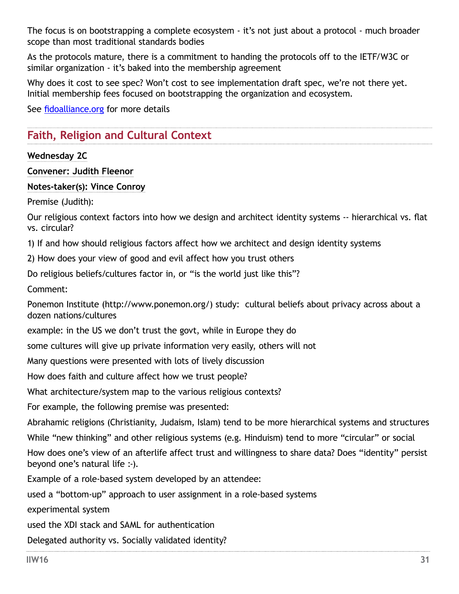<span id="page-30-0"></span>The focus is on bootstrapping a complete ecosystem - it's not just about a protocol - much broader scope than most traditional standards bodies

As the protocols mature, there is a commitment to handing the protocols off to the IETF/W3C or similar organization - it's baked into the membership agreement

Why does it cost to see spec? Won't cost to see implementation draft spec, we're not there yet. Initial membership fees focused on bootstrapping the organization and ecosystem.

See [fidoalliance.org](http://fidoalliance.org) for more details

# **Faith, Religion and Cultural Context**

#### **Wednesday 2C**

**Convener: Judith Fleenor**

#### **Notes-taker(s): Vince Conroy**

Premise (Judith):

Our religious context factors into how we design and architect identity systems -- hierarchical vs. flat vs. circular?

1) If and how should religious factors affect how we architect and design identity systems

2) How does your view of good and evil affect how you trust others

Do religious beliefs/cultures factor in, or "is the world just like this"?

Comment:

Ponemon Institute [\(http://www.ponemon.org/\)](http://www.ponemon.org/) study: cultural beliefs about privacy across about a dozen nations/cultures

example: in the US we don't trust the govt, while in Europe they do

some cultures will give up private information very easily, others will not

Many questions were presented with lots of lively discussion

How does faith and culture affect how we trust people?

What architecture/system map to the various religious contexts?

For example, the following premise was presented:

Abrahamic religions (Christianity, Judaism, Islam) tend to be more hierarchical systems and structures

While "new thinking" and other religious systems (e.g. Hinduism) tend to more "circular" or social

How does one's view of an afterlife affect trust and willingness to share data? Does "identity" persist beyond one's natural life :-).

Example of a role-based system developed by an attendee:

used a "bottom-up" approach to user assignment in a role-based systems

experimental system

used the XDI stack and SAML for authentication

Delegated authority vs. Socially validated identity?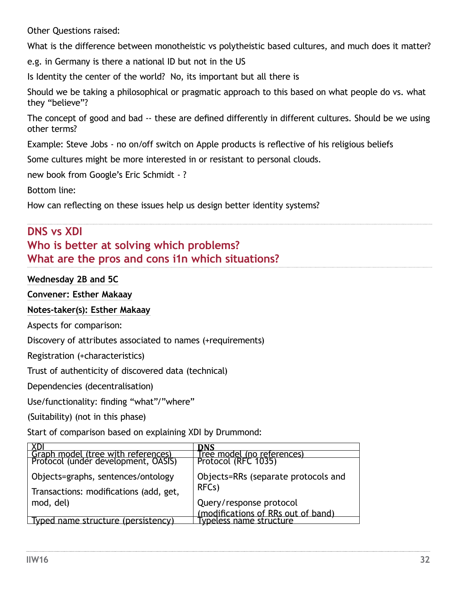<span id="page-31-0"></span>Other Questions raised:

What is the difference between monotheistic vs polytheistic based cultures, and much does it matter?

e.g. in Germany is there a national ID but not in the US

Is Identity the center of the world? No, its important but all there is

Should we be taking a philosophical or pragmatic approach to this based on what people do vs. what they "believe"?

The concept of good and bad -- these are defined differently in different cultures. Should be we using other terms?

Example: Steve Jobs - no on/off switch on Apple products is reflective of his religious beliefs

Some cultures might be more interested in or resistant to personal clouds.

new book from Google's Eric Schmidt - ?

Bottom line:

How can reflecting on these issues help us design better identity systems?

# **DNS vs XDI Who is better at solving which problems? What are the pros and cons i1n which situations?**

## **Wednesday 2B and 5C**

**Convener: Esther Makaay**

## **Notes-taker(s): Esther Makaay**

Aspects for comparison:

Discovery of attributes associated to names (+requirements)

Registration (+characteristics)

Trust of authenticity of discovered data (technical)

Dependencies (decentralisation)

Use/functionality: finding "what"/"where"

(Suitability) (not in this phase)

Start of comparison based on explaining XDI by Drummond:

| Graph model (tree with references)     | KNS                                                           |
|----------------------------------------|---------------------------------------------------------------|
| Protocol (under development, OASIS)    | Tree model (no references)<br>Protocol (RFC 1035)             |
| Objects=graphs, sentences/ontology     | Objects=RRs (separate protocols and                           |
| Transactions: modifications (add, get, | RFC <sub>s</sub> )                                            |
| mod, del)                              | Query/response protocol                                       |
| Typed name structure (persistency)     | (modifications of RRs out of band)<br>Typeless name structure |
|                                        |                                                               |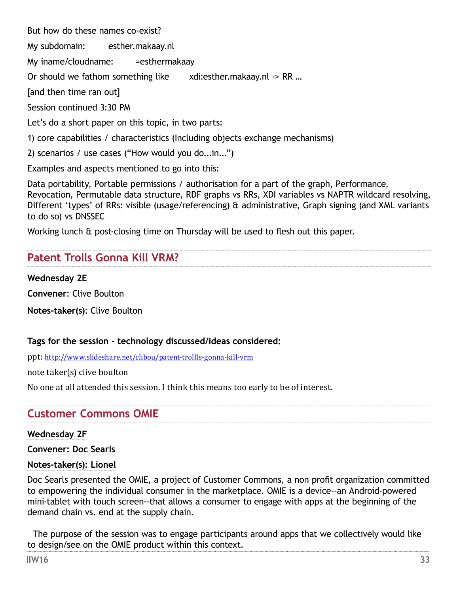<span id="page-32-0"></span>But how do these names co-exist?

My subdomain: esther.makaay.nl

My iname/cloudname: =esthermakaay

Or should we fathom something like xdi:esther.makaay.nl -> RR ...

[and then time ran out]

Session continued 3:30 PM

Let's do a short paper on this topic, in two parts:

1) core capabilities / characteristics (Including objects exchange mechanisms)

2) scenarios / use cases ("How would you do...in...")

Examples and aspects mentioned to go into this:

Data portability, Portable permissions / authorisation for a part of the graph, Performance, Revocation, Permutable data structure, RDF graphs vs RRs, XDI variables vs NAPTR wildcard resolving, Different 'types' of RRs: visible (usage/referencing) & administrative, Graph signing (and XML variants to do so) vs DNSSEC

Working lunch & post-closing time on Thursday will be used to flesh out this paper.

# **Patent Trolls Gonna Kill VRM?**

**Wednesday 2E** 

**Convener**: Clive Boulton

**Notes-taker(s)**: Clive Boulton

## **Tags for the session - technology discussed/ideas considered:**

ppt: <http://www.slideshare.net/clibou/patent-trollls-gonna-kill-vrm>

note taker(s) clive boulton

No one at all attended this session. I think this means too early to be of interest.

# **Customer Commons OMIE**

## **Wednesday 2F**

**Convener: Doc Searls**

## **Notes-taker(s): Lionel**

Doc Searls presented the OMIE, a project of Customer Commons, a non profit organization committed to empowering the individual consumer in the marketplace. OMIE is a device--an Android-powered mini-tablet with touch screen--that allows a consumer to engage with apps at the beginning of the demand chain vs. end at the supply chain.

The purpose of the session was to engage participants around apps that we collectively would like to design/see on the OMIE product within this context.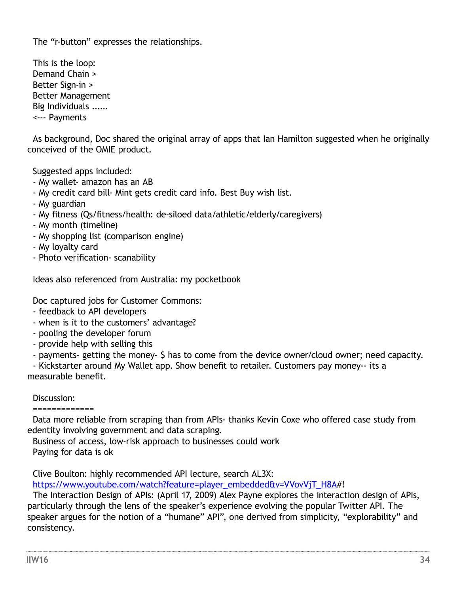The "r-button" expresses the relationships.

This is the loop: Demand Chain > Better Sign-in > Better Management Big Individuals ...... <--- Payments

As background, Doc shared the original array of apps that Ian Hamilton suggested when he originally conceived of the OMIE product.

Suggested apps included:

- My wallet- amazon has an AB
- My credit card bill- Mint gets credit card info. Best Buy wish list.
- My guardian
- My fitness (Qs/fitness/health: de-siloed data/athletic/elderly/caregivers)
- My month (timeline)
- My shopping list (comparison engine)
- My loyalty card
- Photo verification- scanability

Ideas also referenced from Australia: my pocketbook

Doc captured jobs for Customer Commons:

- feedback to API developers
- when is it to the customers' advantage?
- pooling the developer forum
- provide help with selling this
- payments- getting the money- \$ has to come from the device owner/cloud owner; need capacity.

 - Kickstarter around My Wallet app. Show benefit to retailer. Customers pay money-- its a measurable benefit.

Discussion:

=============

Data more reliable from scraping than from APIs- thanks Kevin Coxe who offered case study from edentity involving government and data scraping.

Business of access, low-risk approach to businesses could work

Paying for data is ok

Clive Boulton: highly recommended API lecture, search AL3X:

[https://www.youtube.com/watch?feature=player\\_embedded&v=VVovVjT\\_H8A](https://www.youtube.com/watch?feature=player_embedded&v=VVovVjT_H8A)#!

 The Interaction Design of APIs: (April 17, 2009) Alex Payne explores the interaction design of APIs, particularly through the lens of the speaker's experience evolving the popular Twitter API. The speaker argues for the notion of a "humane" API", one derived from simplicity, "explorability" and consistency.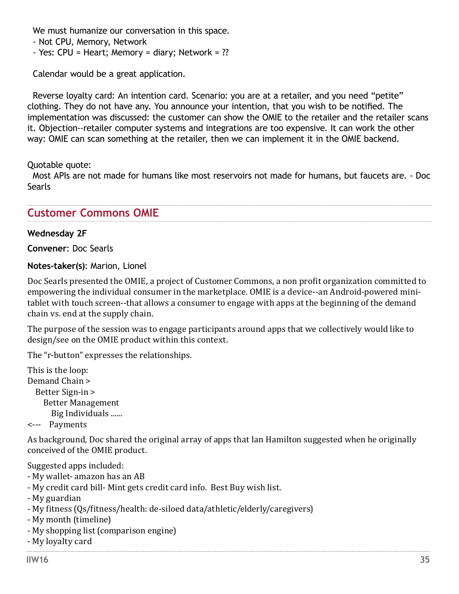<span id="page-34-0"></span>We must humanize our conversation in this space.

- Not CPU, Memory, Network
- Yes: CPU = Heart; Memory = diary; Network = ??

Calendar would be a great application.

 Reverse loyalty card: An intention card. Scenario: you are at a retailer, and you need "petite" clothing. They do not have any. You announce your intention, that you wish to be notified. The implementation was discussed: the customer can show the OMIE to the retailer and the retailer scans it. Objection--retailer computer systems and integrations are too expensive. It can work the other way: OMIE can scan something at the retailer, then we can implement it in the OMIE backend.

Quotable quote:

Most APIs are not made for humans like most reservoirs not made for humans, but faucets are. - Doc **Searls** 

## **Customer Commons OMIE**

#### **Wednesday 2F**

**Convener**: Doc Searls

**Notes-taker(s)**: Marion, Lionel

Doc Searls presented the OMIE, a project of Customer Commons, a non profit organization committed to empowering the individual consumer in the marketplace. OMIE is a device--an Android-powered minitablet with touch screen--that allows a consumer to engage with apps at the beginning of the demand chain vs. end at the supply chain.

The purpose of the session was to engage participants around apps that we collectively would like to design/see on the OMIE product within this context.

The "r-button" expresses the relationships.

This is the loop: Demand Chain > Better Sign-in > Better Management Big Individuals ......

<--- Payments

As background, Doc shared the original array of apps that Ian Hamilton suggested when he originally conceived of the OMIE product.

Suggested apps included:

- My wallet- amazon has an AB
- My credit card bill- Mint gets credit card info. Best Buy wish list.
- My guardian
- My fitness (Qs/fitness/health: de-siloed data/athletic/elderly/caregivers)
- My month (timeline)
- My shopping list (comparison engine)
- My loyalty card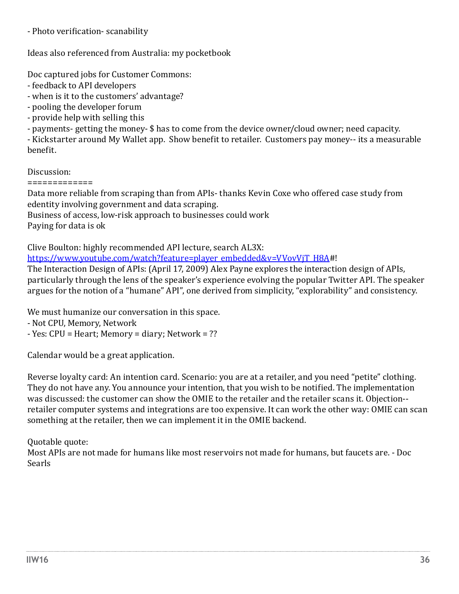- Photo verification- scanability

Ideas also referenced from Australia: my pocketbook

Doc captured jobs for Customer Commons:

- feedback to API developers
- when is it to the customers' advantage?
- pooling the developer forum
- provide help with selling this
- payments- getting the money- \$ has to come from the device owner/cloud owner; need capacity.

- Kickstarter around My Wallet app. Show benefit to retailer. Customers pay money-- its a measurable benefit.

Discussion:

=============

Data more reliable from scraping than from APIs- thanks Kevin Coxe who offered case study from edentity involving government and data scraping.

Business of access, low-risk approach to businesses could work

Paying for data is ok

Clive Boulton: highly recommended API lecture, search AL3X: [https://www.youtube.com/watch?feature=player\\_embedded&v=VVovVjT\\_H8A#](https://www.youtube.com/watch?feature=player_embedded&v=VVovVjT_H8A)!

The Interaction Design of APIs: (April 17, 2009) Alex Payne explores the interaction design of APIs, particularly through the lens of the speaker's experience evolving the popular Twitter API. The speaker argues for the notion of a "humane" API", one derived from simplicity, "explorability" and consistency.

We must humanize our conversation in this space.

- Not CPU, Memory, Network
- Yes: CPU = Heart; Memory = diary; Network = ??

Calendar would be a great application.

Reverse loyalty card: An intention card. Scenario: you are at a retailer, and you need "petite" clothing. They do not have any. You announce your intention, that you wish to be notified. The implementation was discussed: the customer can show the OMIE to the retailer and the retailer scans it. Objection- retailer computer systems and integrations are too expensive. It can work the other way: OMIE can scan something at the retailer, then we can implement it in the OMIE backend.

# Quotable quote:

Most APIs are not made for humans like most reservoirs not made for humans, but faucets are. - Doc Searls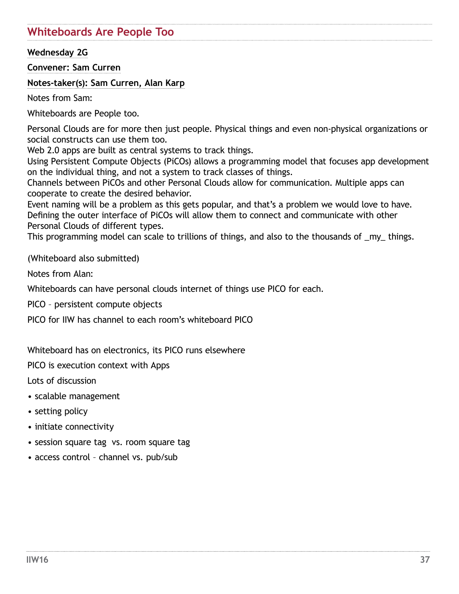## **Whiteboards Are People Too**

### **Wednesday 2G**

**Convener: Sam Curren**

**Notes-taker(s): Sam Curren, Alan Karp**

Notes from Sam:

Whiteboards are People too.

Personal Clouds are for more then just people. Physical things and even non-physical organizations or social constructs can use them too.

Web 2.0 apps are built as central systems to track things.

Using Persistent Compute Objects (PiCOs) allows a programming model that focuses app development on the individual thing, and not a system to track classes of things.

Channels between PiCOs and other Personal Clouds allow for communication. Multiple apps can cooperate to create the desired behavior.

Event naming will be a problem as this gets popular, and that's a problem we would love to have. Defining the outer interface of PiCOs will allow them to connect and communicate with other Personal Clouds of different types.

This programming model can scale to trillions of things, and also to the thousands of \_my\_ things.

(Whiteboard also submitted)

Notes from Alan:

Whiteboards can have personal clouds internet of things use PICO for each.

PICO – persistent compute objects

PICO for IIW has channel to each room's whiteboard PICO

Whiteboard has on electronics, its PICO runs elsewhere

PICO is execution context with Apps

Lots of discussion

- scalable management
- setting policy
- initiate connectivity
- session square tag vs. room square tag
- access control channel vs. pub/sub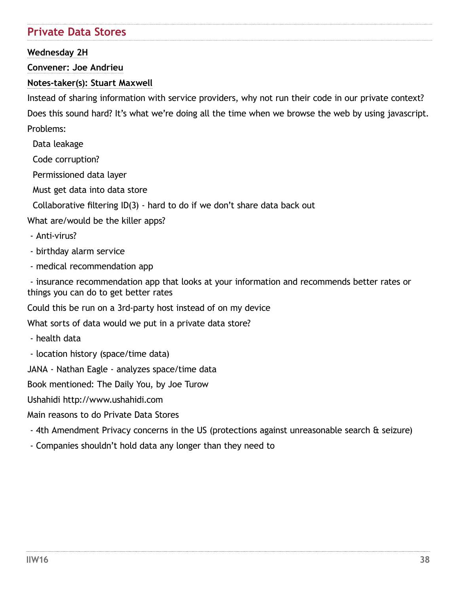# **Private Data Stores**

**Wednesday 2H**

**Convener: Joe Andrieu**

## **Notes-taker(s): Stuart Maxwell**

Instead of sharing information with service providers, why not run their code in our private context? Does this sound hard? It's what we're doing all the time when we browse the web by using javascript. Problems:

Data leakage

Code corruption?

Permissioned data layer

Must get data into data store

Collaborative filtering ID(3) - hard to do if we don't share data back out

What are/would be the killer apps?

- Anti-virus?
- birthday alarm service
- medical recommendation app

 - insurance recommendation app that looks at your information and recommends better rates or things you can do to get better rates

Could this be run on a 3rd-party host instead of on my device

What sorts of data would we put in a private data store?

- health data

- location history (space/time data)

JANA - Nathan Eagle - analyzes space/time data

Book mentioned: The Daily You, by Joe Turow

Ushahidi http://www.ushahidi.com

Main reasons to do Private Data Stores

- 4th Amendment Privacy concerns in the US (protections against unreasonable search & seizure)
- Companies shouldn't hold data any longer than they need to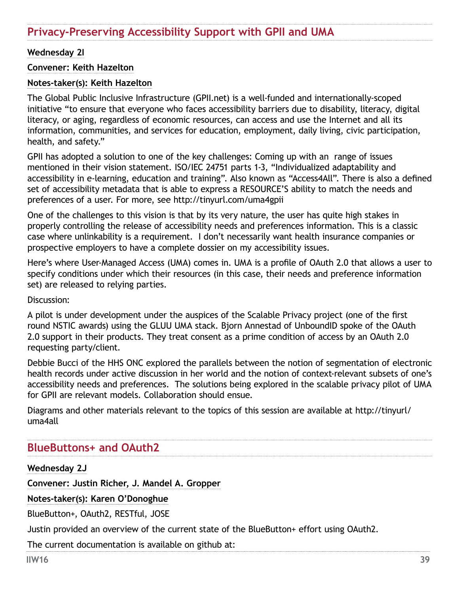# **Privacy-Preserving Accessibility Support with GPII and UMA**

#### **Wednesday 2I**

#### **Convener: Keith Hazelton**

#### **Notes-taker(s): Keith Hazelton**

The Global Public Inclusive Infrastructure [\(GPII.net](http://GPII.net)) is a well-funded and internationally-scoped initiative "to ensure that everyone who faces accessibility barriers due to disability, literacy, digital literacy, or aging, regardless of economic resources, can access and use the Internet and all its information, communities, and services for education, employment, daily living, civic participation, health, and safety."

GPII has adopted a solution to one of the key challenges: Coming up with an range of issues mentioned in their vision statement. ISO/IEC 24751 parts 1-3, "Individualized adaptability and accessibility in e-learning, education and training". Also known as "Access4All". There is also a defined set of accessibility metadata that is able to express a RESOURCE'S ability to match the needs and preferences of a user. For more, see <http://tinyurl.com/uma4gpii>

One of the challenges to this vision is that by its very nature, the user has quite high stakes in properly controlling the release of accessibility needs and preferences information. This is a classic case where unlinkability is a requirement. I don't necessarily want health insurance companies or prospective employers to have a complete dossier on my accessibility issues.

Here's where User-Managed Access (UMA) comes in. UMA is a profile of OAuth 2.0 that allows a user to specify conditions under which their resources (in this case, their needs and preference information set) are released to relying parties.

Discussion:

A pilot is under development under the auspices of the Scalable Privacy project (one of the first round NSTIC awards) using the GLUU UMA stack. Bjorn Annestad of UnboundID spoke of the OAuth 2.0 support in their products. They treat consent as a prime condition of access by an OAuth 2.0 requesting party/client.

Debbie Bucci of the HHS ONC explored the parallels between the notion of segmentation of electronic health records under active discussion in her world and the notion of context-relevant subsets of one's accessibility needs and preferences. The solutions being explored in the scalable privacy pilot of UMA for GPII are relevant models. Collaboration should ensue.

Diagrams and other materials relevant to the topics of this session are available at http://tinyurl/ uma4all

## **BlueButtons+ and OAuth2**

**Wednesday 2J**

**Convener: Justin Richer, J. Mandel A. Gropper**

**Notes-taker(s): Karen O'Donoghue**

BlueButton+, OAuth2, RESTful, JOSE

Justin provided an overview of the current state of the BlueButton+ effort using OAuth2.

The current documentation is available on github at: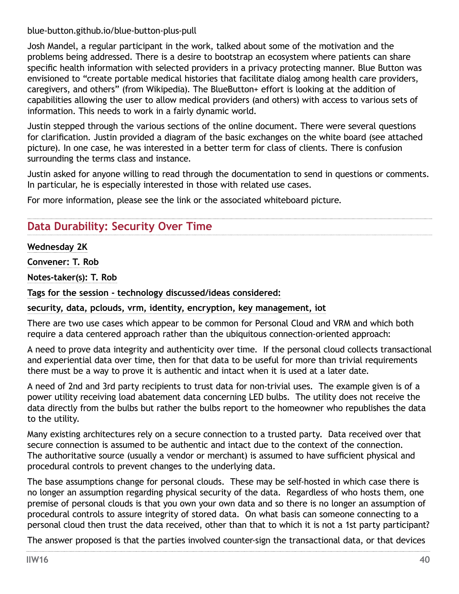blue-button.github.io/blue-button-plus-pull

Josh Mandel, a regular participant in the work, talked about some of the motivation and the problems being addressed. There is a desire to bootstrap an ecosystem where patients can share specific health information with selected providers in a privacy protecting manner. Blue Button was envisioned to "create portable medical histories that facilitate dialog among health care providers, caregivers, and others" (from Wikipedia). The BlueButton+ effort is looking at the addition of capabilities allowing the user to allow medical providers (and others) with access to various sets of information. This needs to work in a fairly dynamic world.

Justin stepped through the various sections of the online document. There were several questions for clarification. Justin provided a diagram of the basic exchanges on the white board (see attached picture). In one case, he was interested in a better term for class of clients. There is confusion surrounding the terms class and instance.

Justin asked for anyone willing to read through the documentation to send in questions or comments. In particular, he is especially interested in those with related use cases.

For more information, please see the link or the associated whiteboard picture.

# **Data Durability: Security Over Time**

### **Wednesday 2K**

**Convener: T. Rob**

**Notes-taker(s): T. Rob**

**Tags for the session - technology discussed/ideas considered:** 

**security, data, pclouds, vrm, identity, encryption, key management, iot**

There are two use cases which appear to be common for Personal Cloud and VRM and which both require a data centered approach rather than the ubiquitous connection-oriented approach:

A need to prove data integrity and authenticity over time. If the personal cloud collects transactional and experiential data over time, then for that data to be useful for more than trivial requirements there must be a way to prove it is authentic and intact when it is used at a later date.

A need of 2nd and 3rd party recipients to trust data for non-trivial uses. The example given is of a power utility receiving load abatement data concerning LED bulbs. The utility does not receive the data directly from the bulbs but rather the bulbs report to the homeowner who republishes the data to the utility.

Many existing architectures rely on a secure connection to a trusted party. Data received over that secure connection is assumed to be authentic and intact due to the context of the connection. The authoritative source (usually a vendor or merchant) is assumed to have sufficient physical and procedural controls to prevent changes to the underlying data.

The base assumptions change for personal clouds. These may be self-hosted in which case there is no longer an assumption regarding physical security of the data. Regardless of who hosts them, one premise of personal clouds is that you own your own data and so there is no longer an assumption of procedural controls to assure integrity of stored data. On what basis can someone connecting to a personal cloud then trust the data received, other than that to which it is not a 1st party participant?

The answer proposed is that the parties involved counter-sign the transactional data, or that devices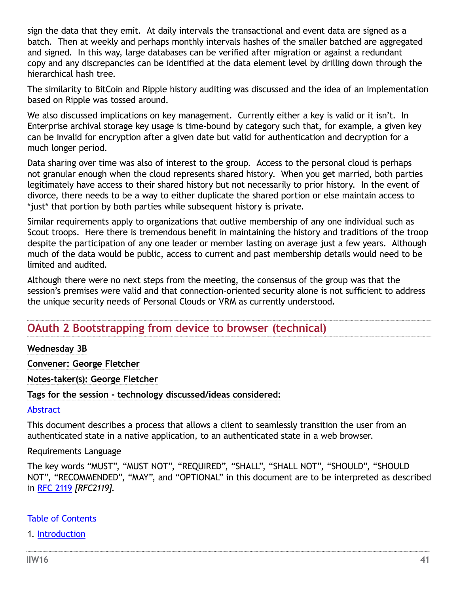sign the data that they emit. At daily intervals the transactional and event data are signed as a batch. Then at weekly and perhaps monthly intervals hashes of the smaller batched are aggregated and signed. In this way, large databases can be verified after migration or against a redundant copy and any discrepancies can be identified at the data element level by drilling down through the hierarchical hash tree.

The similarity to BitCoin and Ripple history auditing was discussed and the idea of an implementation based on Ripple was tossed around.

We also discussed implications on key management. Currently either a key is valid or it isn't. In Enterprise archival storage key usage is time-bound by category such that, for example, a given key can be invalid for encryption after a given date but valid for authentication and decryption for a much longer period.

Data sharing over time was also of interest to the group. Access to the personal cloud is perhaps not granular enough when the cloud represents shared history. When you get married, both parties legitimately have access to their shared history but not necessarily to prior history. In the event of divorce, there needs to be a way to either duplicate the shared portion or else maintain access to \*just\* that portion by both parties while subsequent history is private.

Similar requirements apply to organizations that outlive membership of any one individual such as Scout troops. Here there is tremendous benefit in maintaining the history and traditions of the troop despite the participation of any one leader or member lasting on average just a few years. Although much of the data would be public, access to current and past membership details would need to be limited and audited.

Although there were no next steps from the meeting, the consensus of the group was that the session's premises were valid and that connection-oriented security alone is not sufficient to address the unique security needs of Personal Clouds or VRM as currently understood.

## **OAuth 2 Bootstrapping from device to browser (technical)**

#### **Wednesday 3B**

**Convener: George Fletcher**

**Notes-taker(s): George Fletcher**

**Tags for the session - technology discussed/ideas considered:** 

#### [Abstract](file:///C:\Users\nobantu\AppData\Local\Microsoft\Windows\Temporary Internet Files\Content.Outlook\43C1C14Z\OAuth2 Bootstrap to web session notes.html#rfc.abstract)

This document describes a process that allows a client to seamlessly transition the user from an authenticated state in a native application, to an authenticated state in a web browser.

#### Requirements Language

The key words "MUST", "MUST NOT", "REQUIRED", "SHALL", "SHALL NOT", "SHOULD", "SHOULD NOT", "RECOMMENDED", "MAY", and "OPTIONAL" in this document are to be interpreted as described in [RFC 2119](file:///C:\Users\nobantu\AppData\Local\Microsoft\Windows\Temporary Internet Files\Content.Outlook\43C1C14Z\OAuth2 Bootstrap to web session notes.html#RFC2119) *[RFC2119]*.

#### [Table of Contents](file:///C:\Users\nobantu\AppData\Local\Microsoft\Windows\Temporary Internet Files\Content.Outlook\43C1C14Z\OAuth2 Bootstrap to web session notes.html#rfc.toc)

1. [Introduction](file:///C:\Users\nobantu\AppData\Local\Microsoft\Windows\Temporary Internet Files\Content.Outlook\43C1C14Z\OAuth2 Bootstrap to web session notes.html#rfc.section.1)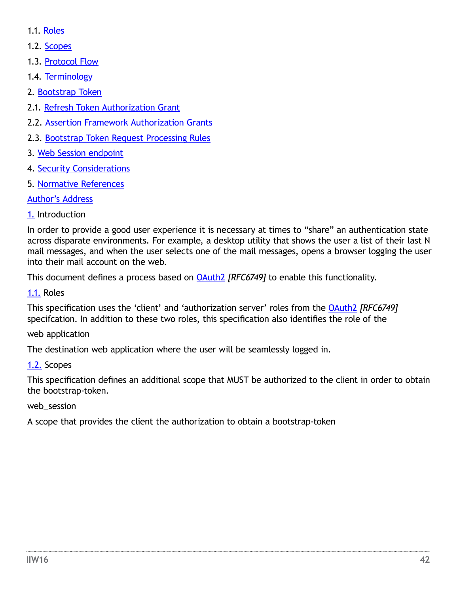- 1.1. [Roles](file:///C:\Users\nobantu\AppData\Local\Microsoft\Windows\Temporary Internet Files\Content.Outlook\43C1C14Z\OAuth2 Bootstrap to web session notes.html#rfc.section.1.1)
- 1.2. [Scopes](file:///C:\Users\nobantu\AppData\Local\Microsoft\Windows\Temporary Internet Files\Content.Outlook\43C1C14Z\OAuth2 Bootstrap to web session notes.html#rfc.section.1.2)
- 1.3. [Protocol Flow](file:///C:\Users\nobantu\AppData\Local\Microsoft\Windows\Temporary Internet Files\Content.Outlook\43C1C14Z\OAuth2 Bootstrap to web session notes.html#rfc.section.1.3)
- 1.4. [Terminology](file:///C:\Users\nobantu\AppData\Local\Microsoft\Windows\Temporary Internet Files\Content.Outlook\43C1C14Z\OAuth2 Bootstrap to web session notes.html#rfc.section.1.4)
- 2. [Bootstrap Token](file:///C:\Users\nobantu\AppData\Local\Microsoft\Windows\Temporary Internet Files\Content.Outlook\43C1C14Z\OAuth2 Bootstrap to web session notes.html#rfc.section.2)
- 2.1. [Refresh Token Authorization Grant](file:///C:\Users\nobantu\AppData\Local\Microsoft\Windows\Temporary Internet Files\Content.Outlook\43C1C14Z\OAuth2 Bootstrap to web session notes.html#rfc.section.2.1)
- 2.2. [Assertion Framework Authorization Grants](file:///C:\Users\nobantu\AppData\Local\Microsoft\Windows\Temporary Internet Files\Content.Outlook\43C1C14Z\OAuth2 Bootstrap to web session notes.html#rfc.section.2.2)
- 2.3. [Bootstrap Token Request Processing Rules](file:///C:\Users\nobantu\AppData\Local\Microsoft\Windows\Temporary Internet Files\Content.Outlook\43C1C14Z\OAuth2 Bootstrap to web session notes.html#rfc.section.2.3)
- 3. [Web Session endpoint](file:///C:\Users\nobantu\AppData\Local\Microsoft\Windows\Temporary Internet Files\Content.Outlook\43C1C14Z\OAuth2 Bootstrap to web session notes.html#rfc.section.3)
- 4. [Security Considerations](file:///C:\Users\nobantu\AppData\Local\Microsoft\Windows\Temporary Internet Files\Content.Outlook\43C1C14Z\OAuth2 Bootstrap to web session notes.html#rfc.section.4)
- 5. [Normative References](file:///C:\Users\nobantu\AppData\Local\Microsoft\Windows\Temporary Internet Files\Content.Outlook\43C1C14Z\OAuth2 Bootstrap to web session notes.html#rfc.references)

## [Author's Address](file:///C:\Users\nobantu\AppData\Local\Microsoft\Windows\Temporary Internet Files\Content.Outlook\43C1C14Z\OAuth2 Bootstrap to web session notes.html#rfc.authors)

## [1.](file:///C:\Users\nobantu\AppData\Local\Microsoft\Windows\Temporary Internet Files\Content.Outlook\43C1C14Z\OAuth2 Bootstrap to web session notes.html#rfc.section.1) Introduction

In order to provide a good user experience it is necessary at times to "share" an authentication state across disparate environments. For example, a desktop utility that shows the user a list of their last N mail messages, and when the user selects one of the mail messages, opens a browser logging the user into their mail account on the web.

This document defines a process based on [OAuth2](file:///C:\Users\nobantu\AppData\Local\Microsoft\Windows\Temporary Internet Files\Content.Outlook\43C1C14Z\OAuth2 Bootstrap to web session notes.html#RFC6749) *[RFC6749]* to enable this functionality.

[1.1. R](file:///C:\Users\nobantu\AppData\Local\Microsoft\Windows\Temporary Internet Files\Content.Outlook\43C1C14Z\OAuth2 Bootstrap to web session notes.html#rfc.section.1.1)oles

This specification uses the 'client' and 'authorization server' roles from the [OAuth2](file:///C:\Users\nobantu\AppData\Local\Microsoft\Windows\Temporary Internet Files\Content.Outlook\43C1C14Z\OAuth2 Bootstrap to web session notes.html#RFC6749) *[RFC6749]* specifcation. In addition to these two roles, this specification also identifies the role of the

web application

The destination web application where the user will be seamlessly logged in.

## [1.2.](file:///C:\Users\nobantu\AppData\Local\Microsoft\Windows\Temporary Internet Files\Content.Outlook\43C1C14Z\OAuth2 Bootstrap to web session notes.html#rfc.section.1.2) Scopes

This specification defines an additional scope that MUST be authorized to the client in order to obtain the bootstrap-token.

## web\_session

A scope that provides the client the authorization to obtain a bootstrap-token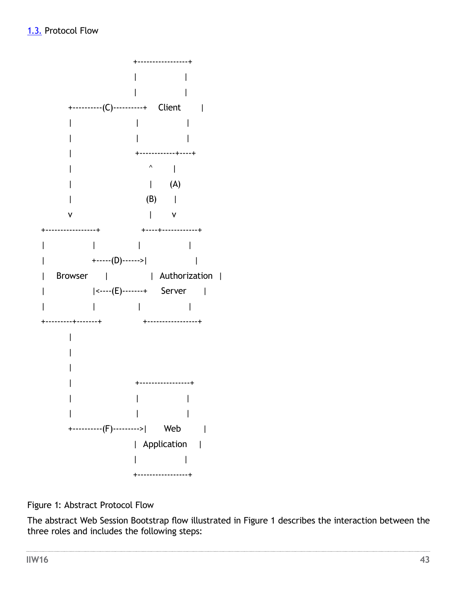

Figure 1: Abstract Protocol Flow

The abstract Web Session Bootstrap flow illustrated in Figure 1 describes the interaction between the three roles and includes the following steps: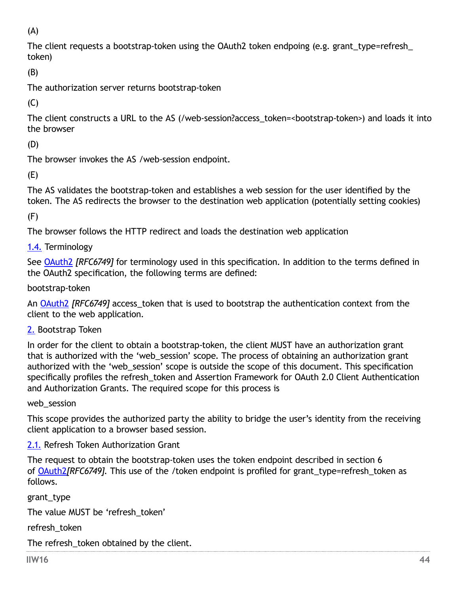(A)

The client requests a bootstrap-token using the OAuth2 token endpoing (e.g. grant\_type=refresh\_ token)

(B)

The authorization server returns bootstrap-token

 $(C)$ 

The client constructs a URL to the AS (/web-session?access\_token=<bootstrap-token>) and loads it into the browser

(D)

The browser invokes the AS /web-session endpoint.

(E)

The AS validates the bootstrap-token and establishes a web session for the user identified by the token. The AS redirects the browser to the destination web application (potentially setting cookies)

(F)

The browser follows the HTTP redirect and loads the destination web application

[1.4. T](file:///C:\Users\nobantu\AppData\Local\Microsoft\Windows\Temporary Internet Files\Content.Outlook\43C1C14Z\OAuth2 Bootstrap to web session notes.html#rfc.section.1.4)erminology

See [OAuth2](file:///C:\Users\nobantu\AppData\Local\Microsoft\Windows\Temporary Internet Files\Content.Outlook\43C1C14Z\OAuth2 Bootstrap to web session notes.html#RFC6749) *[RFC6749]* for terminology used in this specification. In addition to the terms defined in the OAuth2 specification, the following terms are defined:

bootstrap-token

An [OAuth2](file:///C:\Users\nobantu\AppData\Local\Microsoft\Windows\Temporary Internet Files\Content.Outlook\43C1C14Z\OAuth2 Bootstrap to web session notes.html#RFC6749) *[RFC6749]* access\_token that is used to bootstrap the authentication context from the client to the web application.

[2.](file:///C:\Users\nobantu\AppData\Local\Microsoft\Windows\Temporary Internet Files\Content.Outlook\43C1C14Z\OAuth2 Bootstrap to web session notes.html#rfc.section.2) Bootstrap Token

In order for the client to obtain a bootstrap-token, the client MUST have an authorization grant that is authorized with the 'web session' scope. The process of obtaining an authorization grant authorized with the 'web\_session' scope is outside the scope of this document. This specification specifically profiles the refresh token and Assertion Framework for OAuth 2.0 Client Authentication and Authorization Grants. The required scope for this process is

web session

This scope provides the authorized party the ability to bridge the user's identity from the receiving client application to a browser based session.

[2.1.](file:///C:\Users\nobantu\AppData\Local\Microsoft\Windows\Temporary Internet Files\Content.Outlook\43C1C14Z\OAuth2 Bootstrap to web session notes.html#rfc.section.2.1) Refresh Token Authorization Grant

The request to obtain the bootstrap-token uses the token endpoint described in section 6 of **[OAuth2](file:///C:\Users\nobantu\AppData\Local\Microsoft\Windows\Temporary Internet Files\Content.Outlook\43C1C14Z\OAuth2 Bootstrap to web session notes.html#RFC6749)***[RFC6749]*. This use of the /token endpoint is profiled for grant type=refresh token as follows.

grant\_type

The value MUST be 'refresh\_token'

refresh\_token

The refresh token obtained by the client.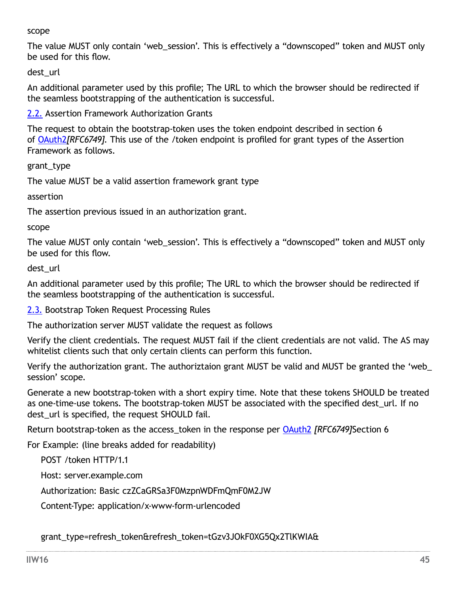#### scope

The value MUST only contain 'web\_session'. This is effectively a "downscoped" token and MUST only be used for this flow.

dest\_url

An additional parameter used by this profile; The URL to which the browser should be redirected if the seamless bootstrapping of the authentication is successful.

[2.2.](file:///C:\Users\nobantu\AppData\Local\Microsoft\Windows\Temporary Internet Files\Content.Outlook\43C1C14Z\OAuth2 Bootstrap to web session notes.html#rfc.section.2.2) Assertion Framework Authorization Grants

The request to obtain the bootstrap-token uses the token endpoint described in section 6 of [OAuth2](file:///C:\Users\nobantu\AppData\Local\Microsoft\Windows\Temporary Internet Files\Content.Outlook\43C1C14Z\OAuth2 Bootstrap to web session notes.html#RFC6749)*[RFC6749]*. This use of the /token endpoint is profiled for grant types of the Assertion Framework as follows.

grant\_type

The value MUST be a valid assertion framework grant type

assertion

The assertion previous issued in an authorization grant.

scope

The value MUST only contain 'web\_session'. This is effectively a "downscoped" token and MUST only be used for this flow.

dest\_url

An additional parameter used by this profile; The URL to which the browser should be redirected if the seamless bootstrapping of the authentication is successful.

[2.3.](file:///C:\Users\nobantu\AppData\Local\Microsoft\Windows\Temporary Internet Files\Content.Outlook\43C1C14Z\OAuth2 Bootstrap to web session notes.html#rfc.section.2.3) Bootstrap Token Request Processing Rules

The authorization server MUST validate the request as follows

Verify the client credentials. The request MUST fail if the client credentials are not valid. The AS may whitelist clients such that only certain clients can perform this function.

Verify the authorization grant. The authoriztaion grant MUST be valid and MUST be granted the 'web\_ session' scope.

Generate a new bootstrap-token with a short expiry time. Note that these tokens SHOULD be treated as one-time-use tokens. The bootstrap-token MUST be associated with the specified dest url. If no dest url is specified, the request SHOULD fail.

Return bootstrap-token as the access\_token in the response per [OAuth2](file:///C:\Users\nobantu\AppData\Local\Microsoft\Windows\Temporary Internet Files\Content.Outlook\43C1C14Z\OAuth2 Bootstrap to web session notes.html#RFC6749) *[RFC6749]*Section 6

For Example: (line breaks added for readability)

POST /token HTTP/1.1

Host: server.example.com

Authorization: Basic czZCaGRSa3F0MzpnWDFmQmF0M2JW

Content-Type: application/x-www-form-urlencoded

grant\_type=refresh\_token&refresh\_token=tGzv3JOkF0XG5Qx2TlKWIA&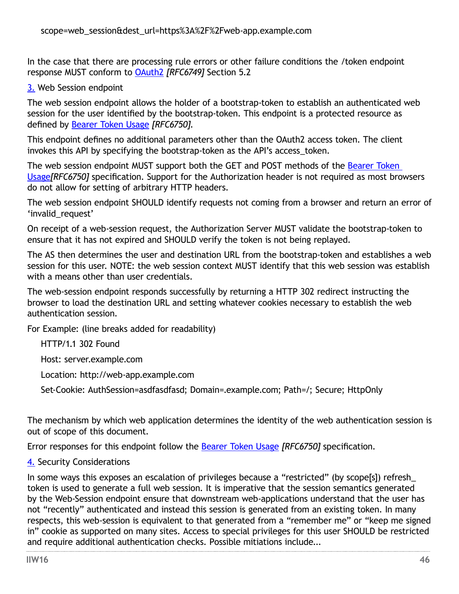In the case that there are processing rule errors or other failure conditions the /token endpoint response MUST conform to [OAuth2](file:///C:\Users\nobantu\AppData\Local\Microsoft\Windows\Temporary Internet Files\Content.Outlook\43C1C14Z\OAuth2 Bootstrap to web session notes.html#RFC6749) *[RFC6749]* Section 5.2

#### [3.](file:///C:\Users\nobantu\AppData\Local\Microsoft\Windows\Temporary Internet Files\Content.Outlook\43C1C14Z\OAuth2 Bootstrap to web session notes.html#rfc.section.3) Web Session endpoint

The web session endpoint allows the holder of a bootstrap-token to establish an authenticated web session for the user identified by the bootstrap-token. This endpoint is a protected resource as defined by [Bearer Token Usage](file:///C:\Users\nobantu\AppData\Local\Microsoft\Windows\Temporary Internet Files\Content.Outlook\43C1C14Z\OAuth2 Bootstrap to web session notes.html#RFC6750) *[RFC6750]*.

This endpoint defines no additional parameters other than the OAuth2 access token. The client invokes this API by specifying the bootstrap-token as the API's access\_token.

The web session endpoint MUST support both the GET and POST methods of the [Bearer Token](file:///C:\Users\nobantu\AppData\Local\Microsoft\Windows\Temporary Internet Files\Content.Outlook\43C1C14Z\OAuth2 Bootstrap to web session notes.html#RFC6750)  [Usage](file:///C:\Users\nobantu\AppData\Local\Microsoft\Windows\Temporary Internet Files\Content.Outlook\43C1C14Z\OAuth2 Bootstrap to web session notes.html#RFC6750)*[RFC6750]* specification. Support for the Authorization header is not required as most browsers do not allow for setting of arbitrary HTTP headers.

The web session endpoint SHOULD identify requests not coming from a browser and return an error of 'invalid request'

On receipt of a web-session request, the Authorization Server MUST validate the bootstrap-token to ensure that it has not expired and SHOULD verify the token is not being replayed.

The AS then determines the user and destination URL from the bootstrap-token and establishes a web session for this user. NOTE: the web session context MUST identify that this web session was establish with a means other than user credentials.

The web-session endpoint responds successfully by returning a HTTP 302 redirect instructing the browser to load the destination URL and setting whatever cookies necessary to establish the web authentication session.

For Example: (line breaks added for readability)

HTTP/1.1 302 Found

Host: server.example.com

Location: http://web-app.example.com

Set-Cookie: AuthSession=asdfasdfasd; Domain=.example.com; Path=/; Secure; HttpOnly

The mechanism by which web application determines the identity of the web authentication session is out of scope of this document.

Error responses for this endpoint follow the [Bearer Token Usage](file:///C:\Users\nobantu\AppData\Local\Microsoft\Windows\Temporary Internet Files\Content.Outlook\43C1C14Z\OAuth2 Bootstrap to web session notes.html#RFC6750) *[RFC6750]* specification.

[4. S](file:///C:\Users\nobantu\AppData\Local\Microsoft\Windows\Temporary Internet Files\Content.Outlook\43C1C14Z\OAuth2 Bootstrap to web session notes.html#rfc.section.4)ecurity Considerations

In some ways this exposes an escalation of privileges because a "restricted" (by scope[s]) refresh\_ token is used to generate a full web session. It is imperative that the session semantics generated by the Web-Session endpoint ensure that downstream web-applications understand that the user has not "recently" authenticated and instead this session is generated from an existing token. In many respects, this web-session is equivalent to that generated from a "remember me" or "keep me signed in" cookie as supported on many sites. Access to special privileges for this user SHOULD be restricted and require additional authentication checks. Possible mitiations include...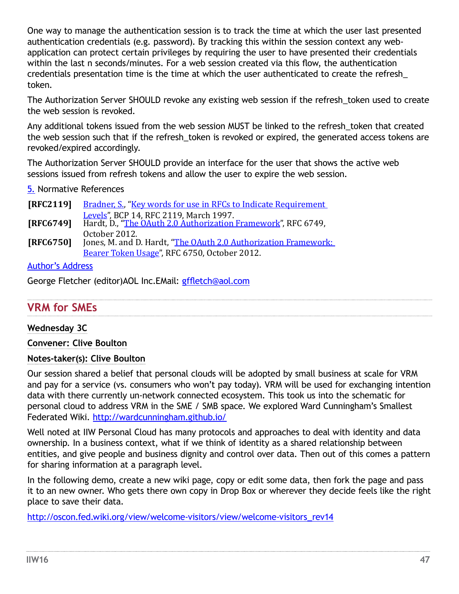One way to manage the authentication session is to track the time at which the user last presented authentication credentials (e.g. password). By tracking this within the session context any webapplication can protect certain privileges by requiring the user to have presented their credentials within the last n seconds/minutes. For a web session created via this flow, the authentication credentials presentation time is the time at which the user authenticated to create the refresh\_ token.

The Authorization Server SHOULD revoke any existing web session if the refresh\_token used to create the web session is revoked.

Any additional tokens issued from the web session MUST be linked to the refresh\_token that created the web session such that if the refresh token is revoked or expired, the generated access tokens are revoked/expired accordingly.

The Authorization Server SHOULD provide an interface for the user that shows the active web sessions issued from refresh tokens and allow the user to expire the web session.

[5.](file:///C:\Users\nobantu\AppData\Local\Microsoft\Windows\Temporary Internet Files\Content.Outlook\43C1C14Z\OAuth2 Bootstrap to web session notes.html#rfc.references) Normative References

| <b>[RFC2119]</b> | Bradner, S., "Key words for use in RFCs to Indicate Requirement                                                          |
|------------------|--------------------------------------------------------------------------------------------------------------------------|
|                  | Levels", BCP 14, RFC 2119, March 1997.<br><b>[RFC6749]</b> Hardt, D., "The OAuth 2.0 Authorization Framework", RFC 6749, |
|                  | October 2012.                                                                                                            |
| [RFC6750]        | Jones, M. and D. Hardt, "The OAuth 2.0 Authorization Framework:                                                          |
|                  | Bearer Token Usage", RFC 6750, October 2012.                                                                             |

### [Author's Address](file:///C:\Users\nobantu\AppData\Local\Microsoft\Windows\Temporary Internet Files\Content.Outlook\43C1C14Z\OAuth2 Bootstrap to web session notes.html#rfc.authors)

George Fletcher (editor)AOL Inc.EMail: [gffletch@aol.com](mailto:gffletch@aol.com)

## **VRM for SMEs**

#### **Wednesday 3C**

**Convener: Clive Boulton**

### **Notes-taker(s): Clive Boulton**

Our session shared a belief that personal clouds will be adopted by small business at scale for VRM and pay for a service (vs. consumers who won't pay today). VRM will be used for exchanging intention data with there currently un-network connected ecosystem. This took us into the schematic for personal cloud to address VRM in the SME / SMB space. We explored Ward Cunningham's Smallest Federated Wiki. <http://wardcunningham.github.io/>

Well noted at IIW Personal Cloud has many protocols and approaches to deal with identity and data ownership. In a business context, what if we think of identity as a shared relationship between entities, and give people and business dignity and control over data. Then out of this comes a pattern for sharing information at a paragraph level.

In the following demo, create a new wiki page, copy or edit some data, then fork the page and pass it to an new owner. Who gets there own copy in Drop Box or wherever they decide feels like the right place to save their data.

[http://oscon.fed.wiki.org/view/welcome-visitors/view/welcome-visitors\\_rev14](http://oscon.fed.wiki.org/view/welcome-visitors/view/welcome-visitors_rev14)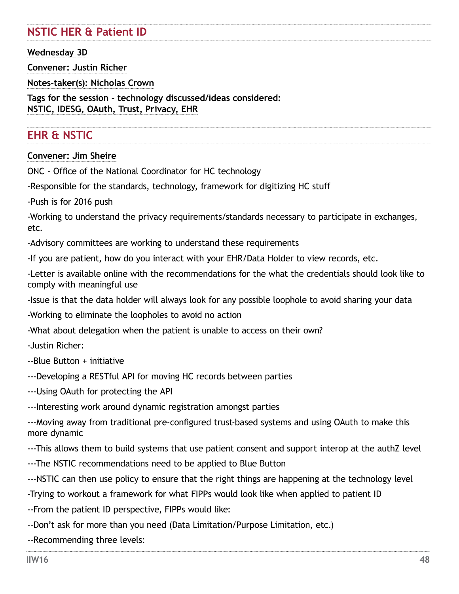# **NSTIC HER & Patient ID**

### **Wednesday 3D**

**Convener: Justin Richer**

**Notes-taker(s): Nicholas Crown**

**Tags for the session - technology discussed/ideas considered: NSTIC, IDESG, OAuth, Trust, Privacy, EHR**

# **EHR & NSTIC**

#### **Convener: Jim Sheire**

ONC - Office of the National Coordinator for HC technology

-Responsible for the standards, technology, framework for digitizing HC stuff

-Push is for 2016 push

-Working to understand the privacy requirements/standards necessary to participate in exchanges, etc.

-Advisory committees are working to understand these requirements

-If you are patient, how do you interact with your EHR/Data Holder to view records, etc.

-Letter is available online with the recommendations for the what the credentials should look like to comply with meaningful use

-Issue is that the data holder will always look for any possible loophole to avoid sharing your data

-Working to eliminate the loopholes to avoid no action

-What about delegation when the patient is unable to access on their own?

-Justin Richer:

--Blue Button + initiative

---Developing a RESTful API for moving HC records between parties

---Using OAuth for protecting the API

---Interesting work around dynamic registration amongst parties

---Moving away from traditional pre-configured trust-based systems and using OAuth to make this more dynamic

---This allows them to build systems that use patient consent and support interop at the authZ level

---The NSTIC recommendations need to be applied to Blue Button

---NSTIC can then use policy to ensure that the right things are happening at the technology level

-Trying to workout a framework for what FIPPs would look like when applied to patient ID

--From the patient ID perspective, FIPPs would like:

--Don't ask for more than you need (Data Limitation/Purpose Limitation, etc.)

--Recommending three levels: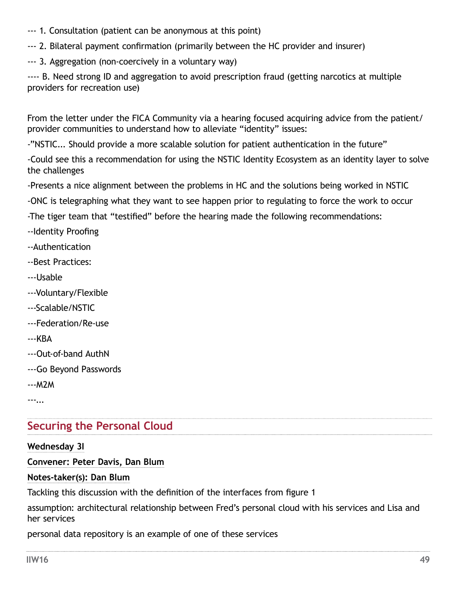- --- 1. Consultation (patient can be anonymous at this point)
- --- 2. Bilateral payment confirmation (primarily between the HC provider and insurer)
- --- 3. Aggregation (non-coercively in a voluntary way)

---- B. Need strong ID and aggregation to avoid prescription fraud (getting narcotics at multiple providers for recreation use)

From the letter under the FICA Community via a hearing focused acquiring advice from the patient/ provider communities to understand how to alleviate "identity" issues:

-"NSTIC... Should provide a more scalable solution for patient authentication in the future"

-Could see this a recommendation for using the NSTIC Identity Ecosystem as an identity layer to solve the challenges

-Presents a nice alignment between the problems in HC and the solutions being worked in NSTIC

-ONC is telegraphing what they want to see happen prior to regulating to force the work to occur

-The tiger team that "testified" before the hearing made the following recommendations:

- --Identity Proofing
- --Authentication
- --Best Practices:
- ---Usable
- ---Voluntary/Flexible
- ---Scalable/NSTIC
- ---Federation/Re-use
- ---KBA
- ---Out-of-band AuthN
- ---Go Beyond Passwords
- ---M2M

---...

# **Securing the Personal Cloud**

#### **Wednesday 3I**

## **Convener: Peter Davis, Dan Blum**

## **Notes-taker(s): Dan Blum**

Tackling this discussion with the definition of the interfaces from figure 1

assumption: architectural relationship between Fred's personal cloud with his services and Lisa and her services

personal data repository is an example of one of these services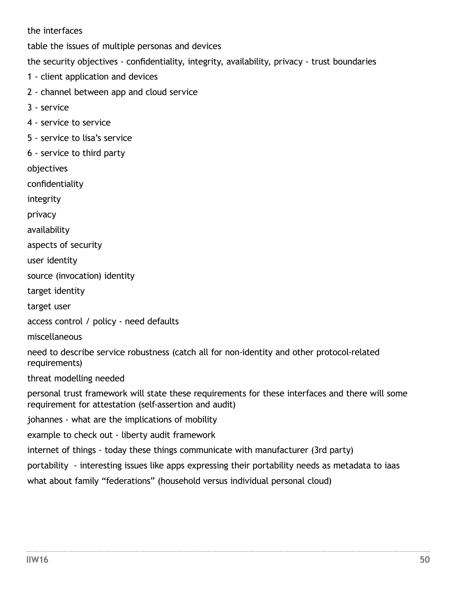the interfaces

table the issues of multiple personas and devices

the security objectives - confidentiality, integrity, availability, privacy - trust boundaries

- 1 client application and devices
- 2 channel between app and cloud service
- 3 service
- 4 service to service
- 5 service to lisa's service
- 6 service to third party

objectives

confidentiality

integrity

privacy

availability

aspects of security

user identity

source (invocation) identity

target identity

target user

access control / policy - need defaults

miscellaneous

need to describe service robustness (catch all for non-identity and other protocol-related requirements)

threat modelling needed

personal trust framework will state these requirements for these interfaces and there will some requirement for attestation (self-assertion and audit)

johannes - what are the implications of mobility

example to check out - liberty audit framework

internet of things - today these things communicate with manufacturer (3rd party)

portability - interesting issues like apps expressing their portability needs as metadata to iaas

what about family "federations" (household versus individual personal cloud)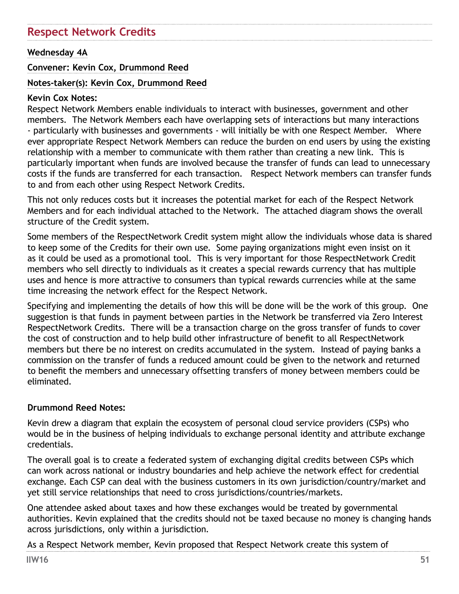# **Respect Network Credits**

#### **Wednesday 4A**

#### **Convener: Kevin Cox, Drummond Reed**

#### **Notes-taker(s): Kevin Cox, Drummond Reed**

#### **Kevin Cox Notes:**

Respect Network Members enable individuals to interact with businesses, government and other members. The Network Members each have overlapping sets of interactions but many interactions - particularly with businesses and governments - will initially be with one Respect Member. Where ever appropriate Respect Network Members can reduce the burden on end users by using the existing relationship with a member to communicate with them rather than creating a new link. This is particularly important when funds are involved because the transfer of funds can lead to unnecessary costs if the funds are transferred for each transaction. Respect Network members can transfer funds to and from each other using Respect Network Credits.

This not only reduces costs but it increases the potential market for each of the Respect Network Members and for each individual attached to the Network. The attached diagram shows the overall structure of the Credit system.

Some members of the RespectNetwork Credit system might allow the individuals whose data is shared to keep some of the Credits for their own use. Some paying organizations might even insist on it as it could be used as a promotional tool. This is very important for those RespectNetwork Credit members who sell directly to individuals as it creates a special rewards currency that has multiple uses and hence is more attractive to consumers than typical rewards currencies while at the same time increasing the network effect for the Respect Network.

Specifying and implementing the details of how this will be done will be the work of this group. One suggestion is that funds in payment between parties in the Network be transferred via Zero Interest RespectNetwork Credits. There will be a transaction charge on the gross transfer of funds to cover the cost of construction and to help build other infrastructure of benefit to all RespectNetwork members but there be no interest on credits accumulated in the system. Instead of paying banks a commission on the transfer of funds a reduced amount could be given to the network and returned to benefit the members and unnecessary offsetting transfers of money between members could be eliminated.

#### **Drummond Reed Notes:**

Kevin drew a diagram that explain the ecosystem of personal cloud service providers (CSPs) who would be in the business of helping individuals to exchange personal identity and attribute exchange credentials.

The overall goal is to create a federated system of exchanging digital credits between CSPs which can work across national or industry boundaries and help achieve the network effect for credential exchange. Each CSP can deal with the business customers in its own jurisdiction/country/market and yet still service relationships that need to cross jurisdictions/countries/markets.

One attendee asked about taxes and how these exchanges would be treated by governmental authorities. Kevin explained that the credits should not be taxed because no money is changing hands across jurisdictions, only within a jurisdiction.

As a Respect Network member, Kevin proposed that Respect Network create this system of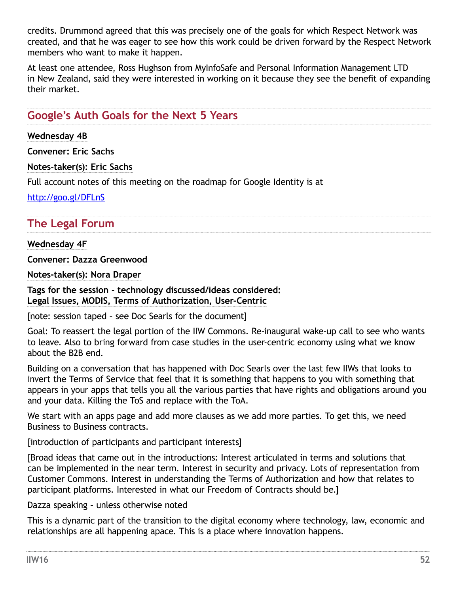credits. Drummond agreed that this was precisely one of the goals for which Respect Network was created, and that he was eager to see how this work could be driven forward by the Respect Network members who want to make it happen.

At least one attendee, Ross Hughson from MyInfoSafe and Personal Information Management LTD in New Zealand, said they were interested in working on it because they see the benefit of expanding their market.

## **Google's Auth Goals for the Next 5 Years**

**Wednesday 4B**

**Convener: Eric Sachs**

**Notes-taker(s): Eric Sachs**

Full account notes of this meeting on the roadmap for Google Identity is at

<http://goo.gl/DFLnS>

## **The Legal Forum**

**Wednesday 4F**

**Convener: Dazza Greenwood**

**Notes-taker(s): Nora Draper**

**Tags for the session - technology discussed/ideas considered: Legal Issues, MODIS, Terms of Authorization, User-Centric** 

[note: session taped – see Doc Searls for the document]

Goal: To reassert the legal portion of the IIW Commons. Re-inaugural wake-up call to see who wants to leave. Also to bring forward from case studies in the user-centric economy using what we know about the B2B end.

Building on a conversation that has happened with Doc Searls over the last few IIWs that looks to invert the Terms of Service that feel that it is something that happens to you with something that appears in your apps that tells you all the various parties that have rights and obligations around you and your data. Killing the ToS and replace with the ToA.

We start with an apps page and add more clauses as we add more parties. To get this, we need Business to Business contracts.

[introduction of participants and participant interests]

[Broad ideas that came out in the introductions: Interest articulated in terms and solutions that can be implemented in the near term. Interest in security and privacy. Lots of representation from Customer Commons. Interest in understanding the Terms of Authorization and how that relates to participant platforms. Interested in what our Freedom of Contracts should be.]

Dazza speaking – unless otherwise noted

This is a dynamic part of the transition to the digital economy where technology, law, economic and relationships are all happening apace. This is a place where innovation happens.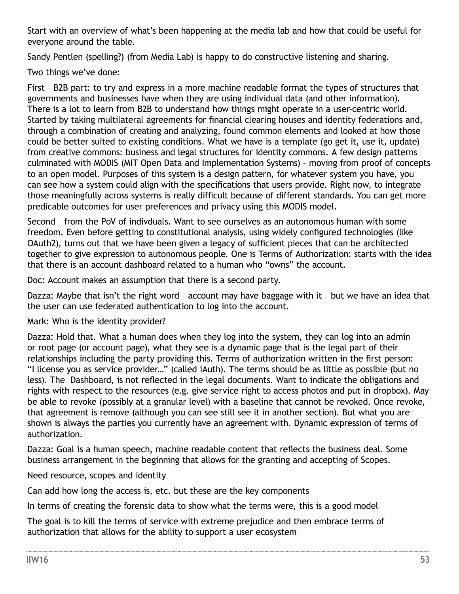Start with an overview of what's been happening at the media lab and how that could be useful for everyone around the table.

Sandy Pentlen (spelling?) (from Media Lab) is happy to do constructive listening and sharing.

Two things we've done:

First – B2B part: to try and express in a more machine readable format the types of structures that governments and businesses have when they are using individual data (and other information). There is a lot to learn from B2B to understand how things might operate in a user-centric world. Started by taking multilateral agreements for financial clearing houses and identity federations and, through a combination of creating and analyzing, found common elements and looked at how those could be better suited to existing conditions. What we have is a template (go get it, use it, update) from creative commons: business and legal structures for identity commons. A few design patterns culminated with MODIS (MIT Open Data and Implementation Systems) – moving from proof of concepts to an open model. Purposes of this system is a design pattern, for whatever system you have, you can see how a system could align with the specifications that users provide. Right now, to integrate those meaningfully across systems is really difficult because of different standards. You can get more predicable outcomes for user preferences and privacy using this MODIS model.

Second – from the PoV of indivduals. Want to see ourselves as an autonomous human with some freedom. Even before getting to constitutional analysis, using widely configured technologies (like OAuth2), turns out that we have been given a legacy of sufficient pieces that can be architected together to give expression to autonomous people. One is Terms of Authorization: starts with the idea that there is an account dashboard related to a human who "owns" the account.

Doc: Account makes an assumption that there is a second party.

Dazza: Maybe that isn't the right word – account may have baggage with it – but we have an idea that the user can use federated authentication to log into the account.

Mark: Who is the identity provider?

Dazza: Hold that. What a human does when they log into the system, they can log into an admin or root page (or account page), what they see is a dynamic page that is the legal part of their relationships including the party providing this. Terms of authorization written in the first person: "I license you as service provider…" (called iAuth). The terms should be as little as possible (but no less). The Dashboard, is not reflected in the legal documents. Want to indicate the obligations and rights with respect to the resources (e.g. give service right to access photos and put in dropbox). May be able to revoke (possibly at a granular level) with a baseline that cannot be revoked. Once revoke, that agreement is remove (although you can see still see it in another section). But what you are shown is always the parties you currently have an agreement with. Dynamic expression of terms of authorization.

Dazza: Goal is a human speech, machine readable content that reflects the business deal. Some business arrangement in the beginning that allows for the granting and accepting of Scopes.

Need resource, scopes and identity

Can add how long the access is, etc. but these are the key components

In terms of creating the forensic data to show what the terms were, this is a good model

The goal is to kill the terms of service with extreme prejudice and then embrace terms of authorization that allows for the ability to support a user ecosystem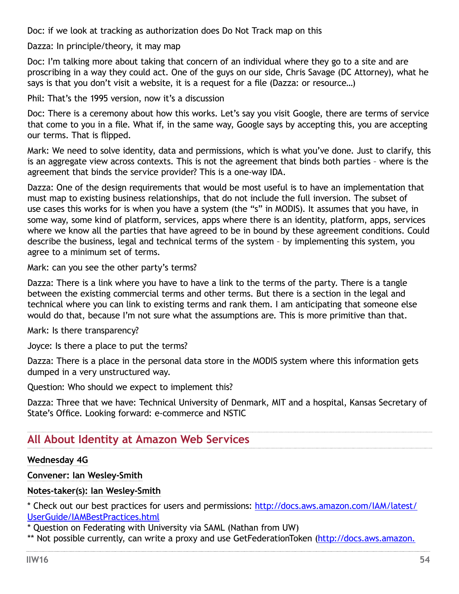Doc: if we look at tracking as authorization does Do Not Track map on this

Dazza: In principle/theory, it may map

Doc: I'm talking more about taking that concern of an individual where they go to a site and are proscribing in a way they could act. One of the guys on our side, Chris Savage (DC Attorney), what he says is that you don't visit a website, it is a request for a file (Dazza: or resource…)

Phil: That's the 1995 version, now it's a discussion

Doc: There is a ceremony about how this works. Let's say you visit Google, there are terms of service that come to you in a file. What if, in the same way, Google says by accepting this, you are accepting our terms. That is flipped.

Mark: We need to solve identity, data and permissions, which is what you've done. Just to clarify, this is an aggregate view across contexts. This is not the agreement that binds both parties – where is the agreement that binds the service provider? This is a one-way IDA.

Dazza: One of the design requirements that would be most useful is to have an implementation that must map to existing business relationships, that do not include the full inversion. The subset of use cases this works for is when you have a system (the "s" in MODIS). It assumes that you have, in some way, some kind of platform, services, apps where there is an identity, platform, apps, services where we know all the parties that have agreed to be in bound by these agreement conditions. Could describe the business, legal and technical terms of the system – by implementing this system, you agree to a minimum set of terms.

Mark: can you see the other party's terms?

Dazza: There is a link where you have to have a link to the terms of the party. There is a tangle between the existing commercial terms and other terms. But there is a section in the legal and technical where you can link to existing terms and rank them. I am anticipating that someone else would do that, because I'm not sure what the assumptions are. This is more primitive than that.

Mark: Is there transparency?

Joyce: Is there a place to put the terms?

Dazza: There is a place in the personal data store in the MODIS system where this information gets dumped in a very unstructured way.

Question: Who should we expect to implement this?

Dazza: Three that we have: Technical University of Denmark, MIT and a hospital, Kansas Secretary of State's Office. Looking forward: e-commerce and NSTIC

## **All About Identity at Amazon Web Services**

#### **Wednesday 4G**

#### **Convener: Ian Wesley-Smith**

#### **Notes-taker(s): Ian Wesley-Smith**

\* Check out our best practices for users and permissions: [http://docs.aws.amazon.com/IAM/latest/](http://docs.aws.amazon.com/IAM/latest/UserGuide/IAMBestPractices.html) [UserGuide/IAMBestPractices.html](http://docs.aws.amazon.com/IAM/latest/UserGuide/IAMBestPractices.html)

\* Question on Federating with University via SAML (Nathan from UW)

\*\* Not possible currently, can write a proxy and use GetFederationToken [\(http://docs.aws.amazon.](http://docs.aws.amazon.com/STS/latest/APIReference/API_GetFederationToken.html)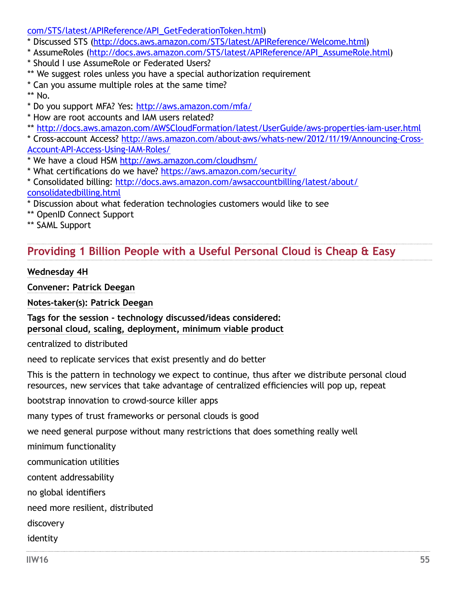#### [com/STS/latest/APIReference/API\\_GetFederationToken.html\)](http://docs.aws.amazon.com/STS/latest/APIReference/API_GetFederationToken.html)

- \* Discussed STS [\(http://docs.aws.amazon.com/STS/latest/APIReference/Welcome.html](http://docs.aws.amazon.com/STS/latest/APIReference/Welcome.html))
- \* AssumeRoles [\(http://docs.aws.amazon.com/STS/latest/APIReference/API\\_AssumeRole.html\)](http://docs.aws.amazon.com/STS/latest/APIReference/API_AssumeRole.html)
- \* Should I use AssumeRole or Federated Users?
- \*\* We suggest roles unless you have a special authorization requirement
- \* Can you assume multiple roles at the same time?
- \*\* No.
- \* Do you support MFA? Yes: <http://aws.amazon.com/mfa/>
- \* How are root accounts and IAM users related?
- \*\*<http://docs.aws.amazon.com/AWSCloudFormation/latest/UserGuide/aws-properties-iam-user.html>

\* Cross-account Access? [http://aws.amazon.com/about-aws/whats-new/2012/11/19/Announcing-Cross-](http://aws.amazon.com/about-aws/whats-new/2012/11/19/Announcing-Cross-Account-API-Access-Using-IAM-Roles/)[Account-API-Access-Using-IAM-Roles/](http://aws.amazon.com/about-aws/whats-new/2012/11/19/Announcing-Cross-Account-API-Access-Using-IAM-Roles/)

- \* We have a cloud HSM <http://aws.amazon.com/cloudhsm/>
- \* What certifications do we have? <https://aws.amazon.com/security/>
- \* Consolidated billing: [http://docs.aws.amazon.com/awsaccountbilling/latest/about/](http://docs.aws.amazon.com/awsaccountbilling/latest/about/consolidatedbilling.html) [consolidatedbilling.html](http://docs.aws.amazon.com/awsaccountbilling/latest/about/consolidatedbilling.html)
- \* Discussion about what federation technologies customers would like to see
- \*\* OpenID Connect Support
- \*\* SAML Support

# **Providing 1 Billion People with a Useful Personal Cloud is Cheap & Easy**

#### **Wednesday 4H**

**Convener: Patrick Deegan**

**Notes-taker(s): Patrick Deegan**

**Tags for the session - technology discussed/ideas considered: personal cloud, scaling, deployment, minimum viable product**

centralized to distributed

need to replicate services that exist presently and do better

This is the pattern in technology we expect to continue, thus after we distribute personal cloud resources, new services that take advantage of centralized efficiencies will pop up, repeat

bootstrap innovation to crowd-source killer apps

many types of trust frameworks or personal clouds is good

we need general purpose without many restrictions that does something really well

minimum functionality

communication utilities

content addressability

no global identifiers

need more resilient, distributed

discovery

identity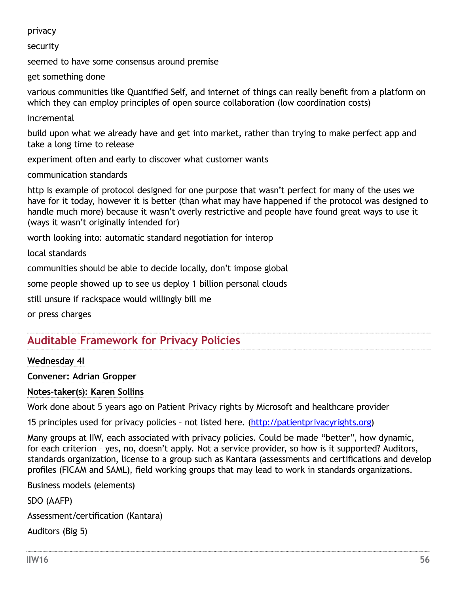privacy

security

seemed to have some consensus around premise

get something done

various communities like Quantified Self, and internet of things can really benefit from a platform on which they can employ principles of open source collaboration (low coordination costs)

incremental

build upon what we already have and get into market, rather than trying to make perfect app and take a long time to release

experiment often and early to discover what customer wants

communication standards

http is example of protocol designed for one purpose that wasn't perfect for many of the uses we have for it today, however it is better (than what may have happened if the protocol was designed to handle much more) because it wasn't overly restrictive and people have found great ways to use it (ways it wasn't originally intended for)

worth looking into: automatic standard negotiation for interop

local standards

communities should be able to decide locally, don't impose global

some people showed up to see us deploy 1 billion personal clouds

still unsure if rackspace would willingly bill me

or press charges

## **Auditable Framework for Privacy Policies**

#### **Wednesday 4I**

**Convener: Adrian Gropper**

#### **Notes-taker(s): Karen Sollins**

Work done about 5 years ago on Patient Privacy rights by Microsoft and healthcare provider

15 principles used for privacy policies – not listed here. ([http://patientprivacyrights.org\)](http://patientprivacyrights.org)

Many groups at IIW, each associated with privacy policies. Could be made "better", how dynamic, for each criterion – yes, no, doesn't apply. Not a service provider, so how is it supported? Auditors, standards organization, license to a group such as Kantara (assessments and certifications and develop profiles (FICAM and SAML), field working groups that may lead to work in standards organizations.

Business models (elements)

SDO (AAFP)

Assessment/certification (Kantara)

Auditors (Big 5)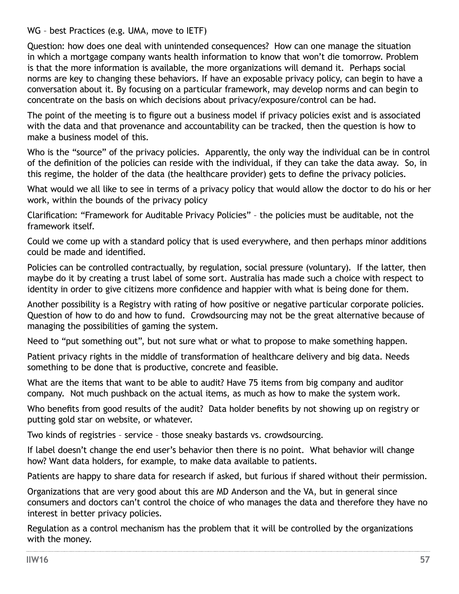WG – best Practices (e.g. UMA, move to IETF)

Question: how does one deal with unintended consequences? How can one manage the situation in which a mortgage company wants health information to know that won't die tomorrow. Problem is that the more information is available, the more organizations will demand it. Perhaps social norms are key to changing these behaviors. If have an exposable privacy policy, can begin to have a conversation about it. By focusing on a particular framework, may develop norms and can begin to concentrate on the basis on which decisions about privacy/exposure/control can be had.

The point of the meeting is to figure out a business model if privacy policies exist and is associated with the data and that provenance and accountability can be tracked, then the question is how to make a business model of this.

Who is the "source" of the privacy policies. Apparently, the only way the individual can be in control of the definition of the policies can reside with the individual, if they can take the data away. So, in this regime, the holder of the data (the healthcare provider) gets to define the privacy policies.

What would we all like to see in terms of a privacy policy that would allow the doctor to do his or her work, within the bounds of the privacy policy

Clarification: "Framework for Auditable Privacy Policies" – the policies must be auditable, not the framework itself.

Could we come up with a standard policy that is used everywhere, and then perhaps minor additions could be made and identified.

Policies can be controlled contractually, by regulation, social pressure (voluntary). If the latter, then maybe do it by creating a trust label of some sort. Australia has made such a choice with respect to identity in order to give citizens more confidence and happier with what is being done for them.

Another possibility is a Registry with rating of how positive or negative particular corporate policies. Question of how to do and how to fund. Crowdsourcing may not be the great alternative because of managing the possibilities of gaming the system.

Need to "put something out", but not sure what or what to propose to make something happen.

Patient privacy rights in the middle of transformation of healthcare delivery and big data. Needs something to be done that is productive, concrete and feasible.

What are the items that want to be able to audit? Have 75 items from big company and auditor company. Not much pushback on the actual items, as much as how to make the system work.

Who benefits from good results of the audit? Data holder benefits by not showing up on registry or putting gold star on website, or whatever.

Two kinds of registries – service – those sneaky bastards vs. crowdsourcing.

If label doesn't change the end user's behavior then there is no point. What behavior will change how? Want data holders, for example, to make data available to patients.

Patients are happy to share data for research if asked, but furious if shared without their permission.

Organizations that are very good about this are MD Anderson and the VA, but in general since consumers and doctors can't control the choice of who manages the data and therefore they have no interest in better privacy policies.

Regulation as a control mechanism has the problem that it will be controlled by the organizations with the money.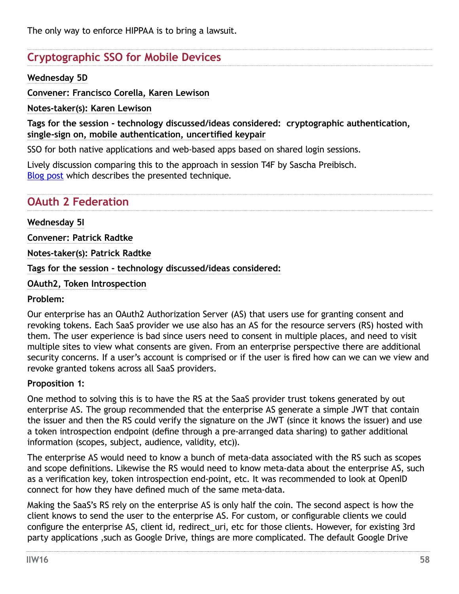# **Cryptographic SSO for Mobile Devices**

### **Wednesday 5D**

**Convener: Francisco Corella, Karen Lewison**

**Notes-taker(s): Karen Lewison**

**Tags for the session - technology discussed/ideas considered: cryptographic authentication, single-sign on, mobile authentication, uncertified keypair**

SSO for both native applications and web-based apps based on shared login sessions.

Lively discussion comparing this to the approach in session T4F by Sascha Preibisch. [Blog post](https://pomcor.com/2013/04/20/two-methods-of-cryptographic-single-sign-on-on-mobile-devices/) which describes the presented technique.

# **OAuth 2 Federation**

### **Wednesday 5I**

**Convener: Patrick Radtke**

**Notes-taker(s): Patrick Radtke**

**Tags for the session - technology discussed/ideas considered:** 

**OAuth2, Token Introspection**

#### **Problem:**

Our enterprise has an OAuth2 Authorization Server (AS) that users use for granting consent and revoking tokens. Each SaaS provider we use also has an AS for the resource servers (RS) hosted with them. The user experience is bad since users need to consent in multiple places, and need to visit multiple sites to view what consents are given. From an enterprise perspective there are additional security concerns. If a user's account is comprised or if the user is fired how can we can we view and revoke granted tokens across all SaaS providers.

#### **Proposition 1:**

One method to solving this is to have the RS at the SaaS provider trust tokens generated by out enterprise AS. The group recommended that the enterprise AS generate a simple JWT that contain the issuer and then the RS could verify the signature on the JWT (since it knows the issuer) and use a token introspection endpoint (define through a pre-arranged data sharing) to gather additional information (scopes, subject, audience, validity, etc)).

The enterprise AS would need to know a bunch of meta-data associated with the RS such as scopes and scope definitions. Likewise the RS would need to know meta-data about the enterprise AS, such as a verification key, token introspection end-point, etc. It was recommended to look at OpenID connect for how they have defined much of the same meta-data.

Making the SaaS's RS rely on the enterprise AS is only half the coin. The second aspect is how the client knows to send the user to the enterprise AS. For custom, or configurable clients we could configure the enterprise AS, client id, redirect uri, etc for those clients. However, for existing 3rd party applications ,such as Google Drive, things are more complicated. The default Google Drive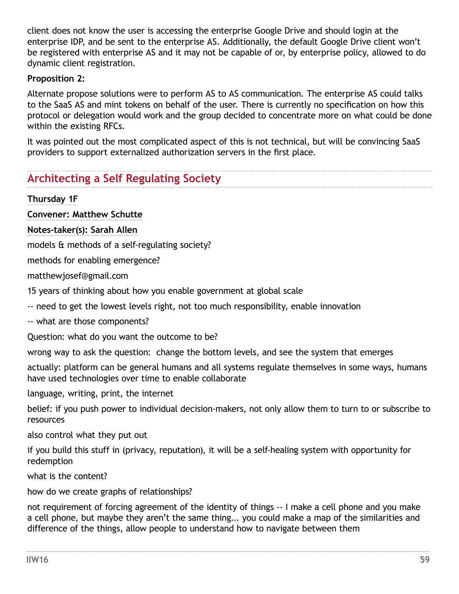client does not know the user is accessing the enterprise Google Drive and should login at the enterprise IDP, and be sent to the enterprise AS. Additionally, the default Google Drive client won't be registered with enterprise AS and it may not be capable of or, by enterprise policy, allowed to do dynamic client registration.

### **Proposition 2:**

Alternate propose solutions were to perform AS to AS communication. The enterprise AS could talks to the SaaS AS and mint tokens on behalf of the user. There is currently no specification on how this protocol or delegation would work and the group decided to concentrate more on what could be done within the existing RFCs.

It was pointed out the most complicated aspect of this is not technical, but will be convincing SaaS providers to support externalized authorization servers in the first place.

## **Architecting a Self Regulating Society**

**Thursday 1F**

**Convener: Matthew Schutte**

**Notes-taker(s): Sarah Allen**

models & methods of a self-regulating society?

methods for enabling emergence?

[matthewjosef@gmail.com](mailto:matthewjosef@gmail.com)

15 years of thinking about how you enable government at global scale

-- need to get the lowest levels right, not too much responsibility, enable innovation

-- what are those components?

Question: what do you want the outcome to be?

wrong way to ask the question: change the bottom levels, and see the system that emerges

actually: platform can be general humans and all systems regulate themselves in some ways, humans have used technologies over time to enable collaborate

language, writing, print, the internet

belief: if you push power to individual decision-makers, not only allow them to turn to or subscribe to resources

also control what they put out

if you build this stuff in (privacy, reputation), it will be a self-healing system with opportunity for redemption

what is the content?

how do we create graphs of relationships?

not requirement of forcing agreement of the identity of things -- I make a cell phone and you make a cell phone, but maybe they aren't the same thing... you could make a map of the similarities and difference of the things, allow people to understand how to navigate between them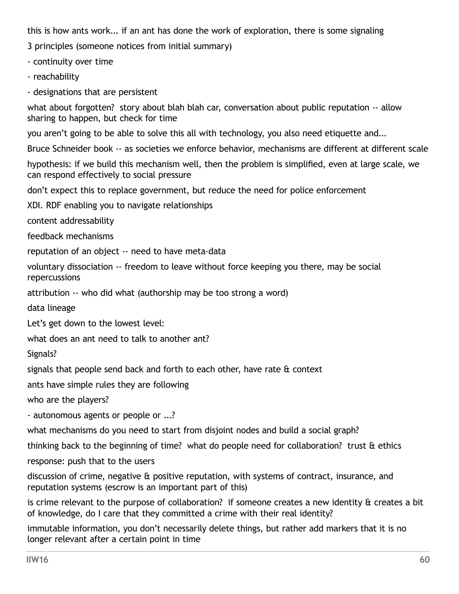this is how ants work... if an ant has done the work of exploration, there is some signaling

3 principles (someone notices from initial summary)

- continuity over time

- reachability

- designations that are persistent

what about forgotten? story about blah blah car, conversation about public reputation -- allow sharing to happen, but check for time

you aren't going to be able to solve this all with technology, you also need etiquette and...

Bruce Schneider book -- as societies we enforce behavior, mechanisms are different at different scale

hypothesis: if we build this mechanism well, then the problem is simplified, even at large scale, we can respond effectively to social pressure

don't expect this to replace government, but reduce the need for police enforcement

XDI. RDF enabling you to navigate relationships

content addressability

feedback mechanisms

reputation of an object -- need to have meta-data

voluntary dissociation -- freedom to leave without force keeping you there, may be social repercussions

attribution -- who did what (authorship may be too strong a word)

data lineage

Let's get down to the lowest level:

what does an ant need to talk to another ant?

Signals?

signals that people send back and forth to each other, have rate  $\hat{a}$  context

ants have simple rules they are following

who are the players?

- autonomous agents or people or ...?

what mechanisms do you need to start from disjoint nodes and build a social graph?

thinking back to the beginning of time? what do people need for collaboration? trust & ethics

response: push that to the users

discussion of crime, negative & positive reputation, with systems of contract, insurance, and reputation systems (escrow is an important part of this)

is crime relevant to the purpose of collaboration? if someone creates a new identity & creates a bit of knowledge, do I care that they committed a crime with their real identity?

immutable information, you don't necessarily delete things, but rather add markers that it is no longer relevant after a certain point in time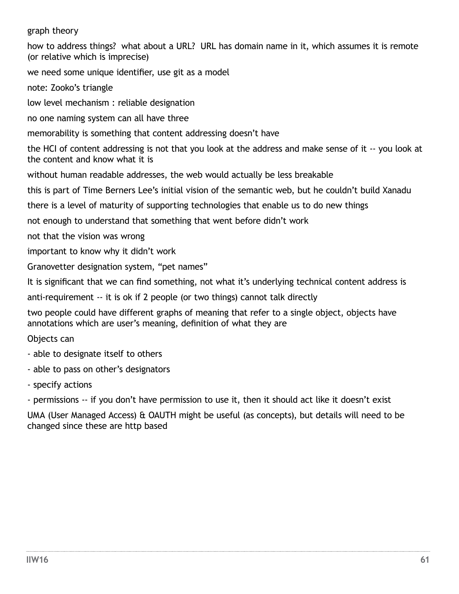graph theory

how to address things? what about a URL? URL has domain name in it, which assumes it is remote (or relative which is imprecise)

we need some unique identifier, use git as a model

note: Zooko's triangle

low level mechanism : reliable designation

no one naming system can all have three

memorability is something that content addressing doesn't have

the HCI of content addressing is not that you look at the address and make sense of it -- you look at the content and know what it is

without human readable addresses, the web would actually be less breakable

this is part of Time Berners Lee's initial vision of the semantic web, but he couldn't build Xanadu

there is a level of maturity of supporting technologies that enable us to do new things

not enough to understand that something that went before didn't work

not that the vision was wrong

important to know why it didn't work

Granovetter designation system, "pet names"

It is significant that we can find something, not what it's underlying technical content address is

anti-requirement -- it is ok if 2 people (or two things) cannot talk directly

two people could have different graphs of meaning that refer to a single object, objects have annotations which are user's meaning, definition of what they are

Objects can

- able to designate itself to others
- able to pass on other's designators
- specify actions
- permissions -- if you don't have permission to use it, then it should act like it doesn't exist

UMA (User Managed Access) & OAUTH might be useful (as concepts), but details will need to be changed since these are http based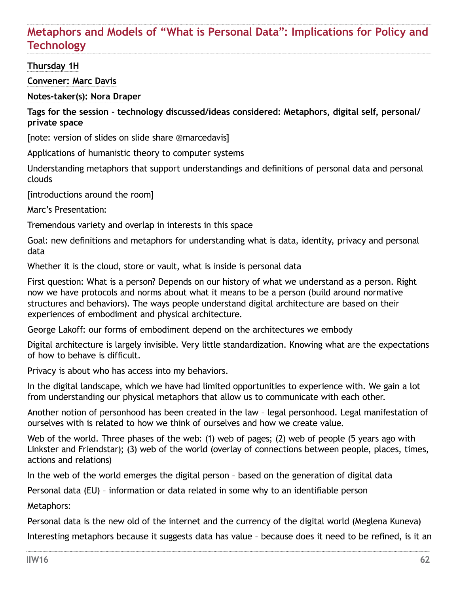# **Metaphors and Models of "What is Personal Data": Implications for Policy and Technology**

### **Thursday 1H**

**Convener: Marc Davis**

**Notes-taker(s): Nora Draper**

**Tags for the session - technology discussed/ideas considered: Metaphors, digital self, personal/ private space** 

[note: version of slides on slide share @marcedavis]

Applications of humanistic theory to computer systems

Understanding metaphors that support understandings and definitions of personal data and personal clouds

[introductions around the room]

Marc's Presentation:

Tremendous variety and overlap in interests in this space

Goal: new definitions and metaphors for understanding what is data, identity, privacy and personal data

Whether it is the cloud, store or vault, what is inside is personal data

First question: What is a person? Depends on our history of what we understand as a person. Right now we have protocols and norms about what it means to be a person (build around normative structures and behaviors). The ways people understand digital architecture are based on their experiences of embodiment and physical architecture.

George Lakoff: our forms of embodiment depend on the architectures we embody

Digital architecture is largely invisible. Very little standardization. Knowing what are the expectations of how to behave is difficult.

Privacy is about who has access into my behaviors.

In the digital landscape, which we have had limited opportunities to experience with. We gain a lot from understanding our physical metaphors that allow us to communicate with each other.

Another notion of personhood has been created in the law – legal personhood. Legal manifestation of ourselves with is related to how we think of ourselves and how we create value.

Web of the world. Three phases of the web: (1) web of pages; (2) web of people (5 years ago with Linkster and Friendstar); (3) web of the world (overlay of connections between people, places, times, actions and relations)

In the web of the world emerges the digital person – based on the generation of digital data

Personal data (EU) – information or data related in some why to an identifiable person

Metaphors:

Personal data is the new old of the internet and the currency of the digital world (Meglena Kuneva) Interesting metaphors because it suggests data has value – because does it need to be refined, is it an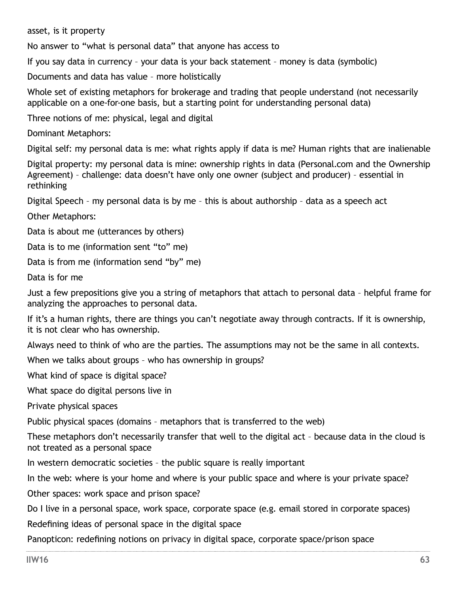asset, is it property

No answer to "what is personal data" that anyone has access to

If you say data in currency – your data is your back statement – money is data (symbolic)

Documents and data has value – more holistically

Whole set of existing metaphors for brokerage and trading that people understand (not necessarily applicable on a one-for-one basis, but a starting point for understanding personal data)

Three notions of me: physical, legal and digital

Dominant Metaphors:

Digital self: my personal data is me: what rights apply if data is me? Human rights that are inalienable

Digital property: my personal data is mine: ownership rights in data (Personal.com and the Ownership Agreement) – challenge: data doesn't have only one owner (subject and producer) – essential in rethinking

Digital Speech – my personal data is by me – this is about authorship – data as a speech act

Other Metaphors:

Data is about me (utterances by others)

Data is to me (information sent "to" me)

Data is from me (information send "by" me)

Data is for me

Just a few prepositions give you a string of metaphors that attach to personal data – helpful frame for analyzing the approaches to personal data.

If it's a human rights, there are things you can't negotiate away through contracts. If it is ownership, it is not clear who has ownership.

Always need to think of who are the parties. The assumptions may not be the same in all contexts.

When we talks about groups – who has ownership in groups?

What kind of space is digital space?

What space do digital persons live in

Private physical spaces

Public physical spaces (domains – metaphors that is transferred to the web)

These metaphors don't necessarily transfer that well to the digital act – because data in the cloud is not treated as a personal space

In western democratic societies – the public square is really important

In the web: where is your home and where is your public space and where is your private space?

Other spaces: work space and prison space?

Do I live in a personal space, work space, corporate space (e.g. email stored in corporate spaces) Redefining ideas of personal space in the digital space

Panopticon: redefining notions on privacy in digital space, corporate space/prison space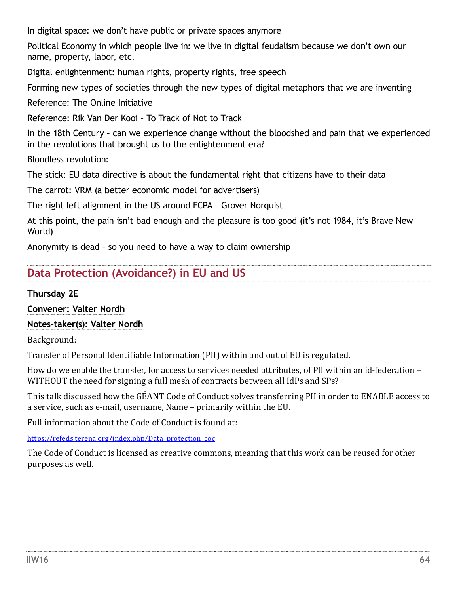In digital space: we don't have public or private spaces anymore

Political Economy in which people live in: we live in digital feudalism because we don't own our name, property, labor, etc.

Digital enlightenment: human rights, property rights, free speech

Forming new types of societies through the new types of digital metaphors that we are inventing

Reference: The Online Initiative

Reference: Rik Van Der Kooi – To Track of Not to Track

In the 18th Century – can we experience change without the bloodshed and pain that we experienced in the revolutions that brought us to the enlightenment era?

Bloodless revolution:

The stick: EU data directive is about the fundamental right that citizens have to their data

The carrot: VRM (a better economic model for advertisers)

The right left alignment in the US around ECPA – Grover Norquist

At this point, the pain isn't bad enough and the pleasure is too good (it's not 1984, it's Brave New World)

Anonymity is dead – so you need to have a way to claim ownership

# **Data Protection (Avoidance?) in EU and US**

**Thursday 2E** 

**Convener: Valter Nordh**

### **Notes-taker(s): Valter Nordh**

Background:

Transfer of Personal Identifiable Information (PII) within and out of EU is regulated.

How do we enable the transfer, for access to services needed attributes, of PII within an id-federation – WITHOUT the need for signing a full mesh of contracts between all IdPs and SPs?

This talk discussed how the GÉANT Code of Conduct solves transferring PII in order to ENABLE access to a service, such as e-mail, username, Name – primarily within the EU.

Full information about the Code of Conduct is found at:

[https://refeds.terena.org/index.php/Data\\_protection\\_coc](https://refeds.terena.org/index.php/Data_protection_coc)

The Code of Conduct is licensed as creative commons, meaning that this work can be reused for other purposes as well.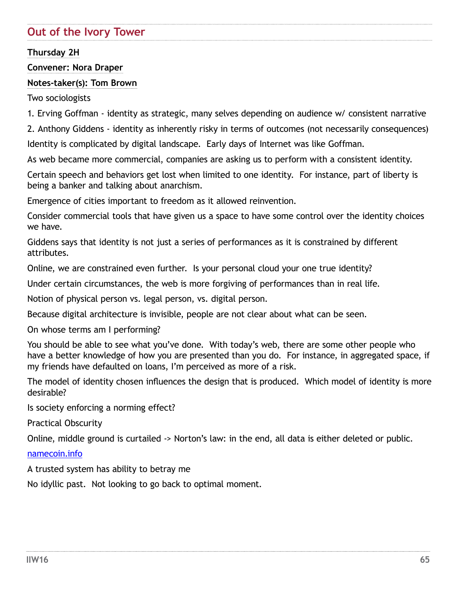# **Out of the Ivory Tower**

### **Thursday 2H**

#### **Convener: Nora Draper**

#### **Notes-taker(s): Tom Brown**

Two sociologists

1. Erving Goffman - identity as strategic, many selves depending on audience w/ consistent narrative

2. Anthony Giddens - identity as inherently risky in terms of outcomes (not necessarily consequences) Identity is complicated by digital landscape. Early days of Internet was like Goffman.

As web became more commercial, companies are asking us to perform with a consistent identity.

Certain speech and behaviors get lost when limited to one identity. For instance, part of liberty is being a banker and talking about anarchism.

Emergence of cities important to freedom as it allowed reinvention.

Consider commercial tools that have given us a space to have some control over the identity choices we have.

Giddens says that identity is not just a series of performances as it is constrained by different attributes.

Online, we are constrained even further. Is your personal cloud your one true identity?

Under certain circumstances, the web is more forgiving of performances than in real life.

Notion of physical person vs. legal person, vs. digital person.

Because digital architecture is invisible, people are not clear about what can be seen.

On whose terms am I performing?

You should be able to see what you've done. With today's web, there are some other people who have a better knowledge of how you are presented than you do. For instance, in aggregated space, if my friends have defaulted on loans, I'm perceived as more of a risk.

The model of identity chosen influences the design that is produced. Which model of identity is more desirable?

Is society enforcing a norming effect?

Practical Obscurity

Online, middle ground is curtailed -> Norton's law: in the end, all data is either deleted or public.

#### [namecoin.info](http://namecoin.info)

A trusted system has ability to betray me

No idyllic past. Not looking to go back to optimal moment.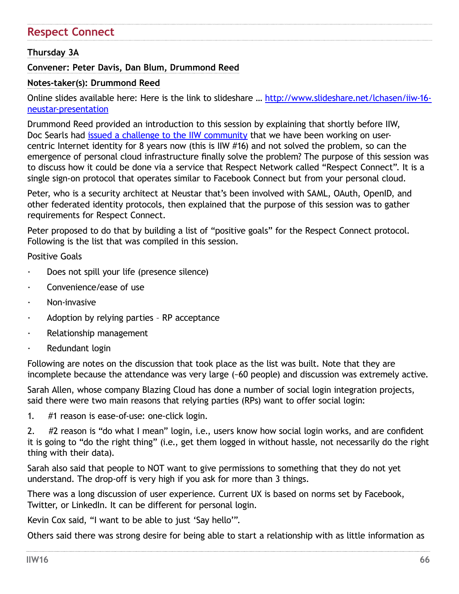# **Respect Connect**

### **Thursday 3A**

### **Convener: Peter Davis, Dan Blum, Drummond Reed**

#### **Notes-taker(s): Drummond Reed**

Online slides available here: Here is the link to slideshare … [http://www.slideshare.net/lchasen/iiw-16](http://www.slideshare.net/lchasen/iiw-16-neustar-presentation) [neustar-presentation](http://www.slideshare.net/lchasen/iiw-16-neustar-presentation)

Drummond Reed provided an introduction to this session by explaining that shortly before IIW, Doc Searls had *issued a challenge to the IIW community* that we have been working on usercentric Internet identity for 8 years now (this is IIW #16) and not solved the problem, so can the emergence of personal cloud infrastructure finally solve the problem? The purpose of this session was to discuss how it could be done via a service that Respect Network called "Respect Connect". It is a single sign-on protocol that operates similar to Facebook Connect but from your personal cloud.

Peter, who is a security architect at Neustar that's been involved with SAML, OAuth, OpenID, and other federated identity protocols, then explained that the purpose of this session was to gather requirements for Respect Connect.

Peter proposed to do that by building a list of "positive goals" for the Respect Connect protocol. Following is the list that was compiled in this session.

Positive Goals

- Does not spill your life (presence silence)
- Convenience/ease of use
- · Non-invasive
- · Adoption by relying parties RP acceptance
- · Relationship management
- Redundant login

Following are notes on the discussion that took place as the list was built. Note that they are incomplete because the attendance was very large (~60 people) and discussion was extremely active.

Sarah Allen, whose company Blazing Cloud has done a number of social login integration projects, said there were two main reasons that relying parties (RPs) want to offer social login:

1. #1 reason is ease-of-use: one-click login.

2. #2 reason is "do what I mean" login, i.e., users know how social login works, and are confident it is going to "do the right thing" (i.e., get them logged in without hassle, not necessarily do the right thing with their data).

Sarah also said that people to NOT want to give permissions to something that they do not yet understand. The drop-off is very high if you ask for more than 3 things.

There was a long discussion of user experience. Current UX is based on norms set by Facebook, Twitter, or LinkedIn. It can be different for personal login.

Kevin Cox said, "I want to be able to just 'Say hello'".

Others said there was strong desire for being able to start a relationship with as little information as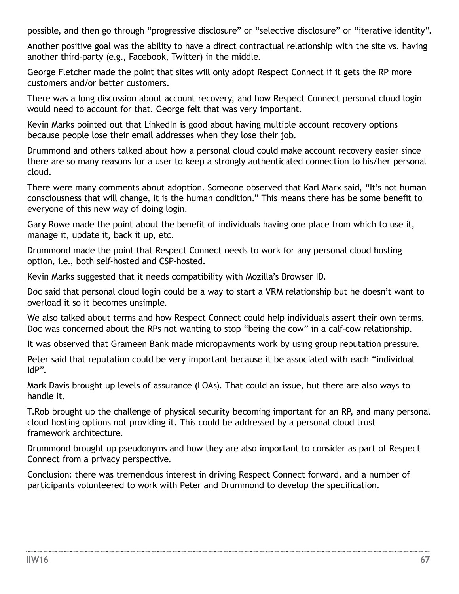possible, and then go through "progressive disclosure" or "selective disclosure" or "iterative identity".

Another positive goal was the ability to have a direct contractual relationship with the site vs. having another third-party (e.g., Facebook, Twitter) in the middle.

George Fletcher made the point that sites will only adopt Respect Connect if it gets the RP more customers and/or better customers.

There was a long discussion about account recovery, and how Respect Connect personal cloud login would need to account for that. George felt that was very important.

Kevin Marks pointed out that LinkedIn is good about having multiple account recovery options because people lose their email addresses when they lose their job.

Drummond and others talked about how a personal cloud could make account recovery easier since there are so many reasons for a user to keep a strongly authenticated connection to his/her personal cloud.

There were many comments about adoption. Someone observed that Karl Marx said, "It's not human consciousness that will change, it is the human condition." This means there has be some benefit to everyone of this new way of doing login.

Gary Rowe made the point about the benefit of individuals having one place from which to use it, manage it, update it, back it up, etc.

Drummond made the point that Respect Connect needs to work for any personal cloud hosting option, i.e., both self-hosted and CSP-hosted.

Kevin Marks suggested that it needs compatibility with Mozilla's Browser ID.

Doc said that personal cloud login could be a way to start a VRM relationship but he doesn't want to overload it so it becomes unsimple.

We also talked about terms and how Respect Connect could help individuals assert their own terms. Doc was concerned about the RPs not wanting to stop "being the cow" in a calf-cow relationship.

It was observed that Grameen Bank made micropayments work by using group reputation pressure.

Peter said that reputation could be very important because it be associated with each "individual IdP".

Mark Davis brought up levels of assurance (LOAs). That could an issue, but there are also ways to handle it.

T.Rob brought up the challenge of physical security becoming important for an RP, and many personal cloud hosting options not providing it. This could be addressed by a personal cloud trust framework architecture.

Drummond brought up pseudonyms and how they are also important to consider as part of Respect Connect from a privacy perspective.

Conclusion: there was tremendous interest in driving Respect Connect forward, and a number of participants volunteered to work with Peter and Drummond to develop the specification.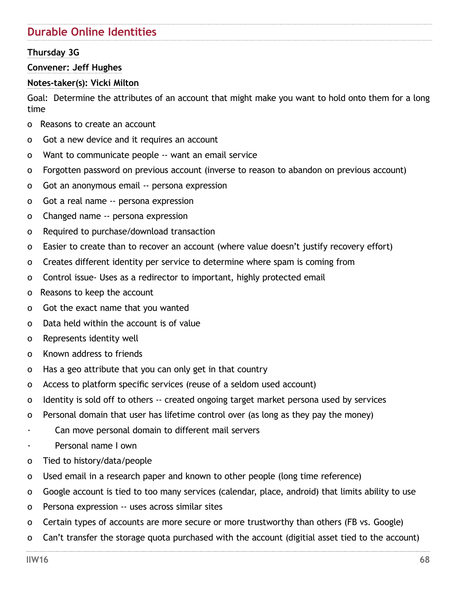# **Durable Online Identities**

## **Thursday 3G**

#### **Convener: Jeff Hughes**

### **Notes-taker(s): Vicki Milton**

Goal: Determine the attributes of an account that might make you want to hold onto them for a long time

- o Reasons to create an account
- o Got a new device and it requires an account
- o Want to communicate people -- want an email service
- o Forgotten password on previous account (inverse to reason to abandon on previous account)
- o Got an anonymous email -- persona expression
- o Got a real name -- persona expression
- o Changed name -- persona expression
- o Required to purchase/download transaction
- o Easier to create than to recover an account (where value doesn't justify recovery effort)
- o Creates different identity per service to determine where spam is coming from
- o Control issue- Uses as a redirector to important, highly protected email
- o Reasons to keep the account
- o Got the exact name that you wanted
- o Data held within the account is of value
- o Represents identity well
- o Known address to friends
- o Has a geo attribute that you can only get in that country
- o Access to platform specific services (reuse of a seldom used account)
- o Identity is sold off to others -- created ongoing target market persona used by services
- o Personal domain that user has lifetime control over (as long as they pay the money)
- · Can move personal domain to different mail servers
- Personal name I own
- o Tied to history/data/people
- o Used email in a research paper and known to other people (long time reference)
- o Google account is tied to too many services (calendar, place, android) that limits ability to use
- o Persona expression -- uses across similar sites
- o Certain types of accounts are more secure or more trustworthy than others (FB vs. Google)
- o Can't transfer the storage quota purchased with the account (digitial asset tied to the account)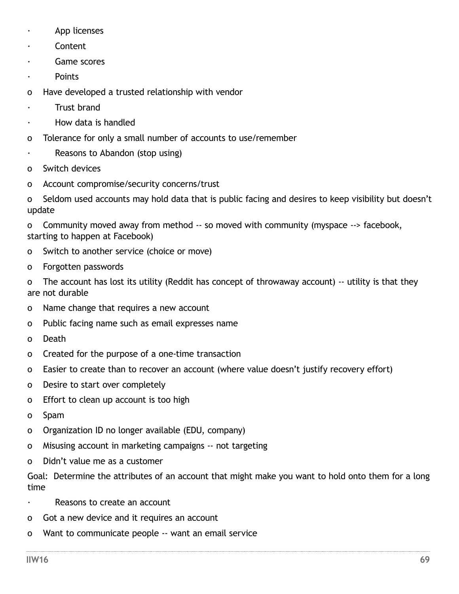- App licenses
- **Content**
- Game scores
- **Points**
- o Have developed a trusted relationship with vendor
- **Trust brand**
- · How data is handled
- o Tolerance for only a small number of accounts to use/remember
- Reasons to Abandon (stop using)
- o Switch devices
- o Account compromise/security concerns/trust

o Seldom used accounts may hold data that is public facing and desires to keep visibility but doesn't update

o Community moved away from method -- so moved with community (myspace --> facebook, starting to happen at Facebook)

- o Switch to another service (choice or move)
- o Forgotten passwords

o The account has lost its utility (Reddit has concept of throwaway account) -- utility is that they are not durable

- o Name change that requires a new account
- o Public facing name such as email expresses name
- o Death
- o Created for the purpose of a one-time transaction
- o Easier to create than to recover an account (where value doesn't justify recovery effort)
- o Desire to start over completely
- o Effort to clean up account is too high
- o Spam
- o Organization ID no longer available (EDU, company)
- o Misusing account in marketing campaigns -- not targeting
- o Didn't value me as a customer

Goal: Determine the attributes of an account that might make you want to hold onto them for a long time

- · Reasons to create an account
- o Got a new device and it requires an account
- o Want to communicate people -- want an email service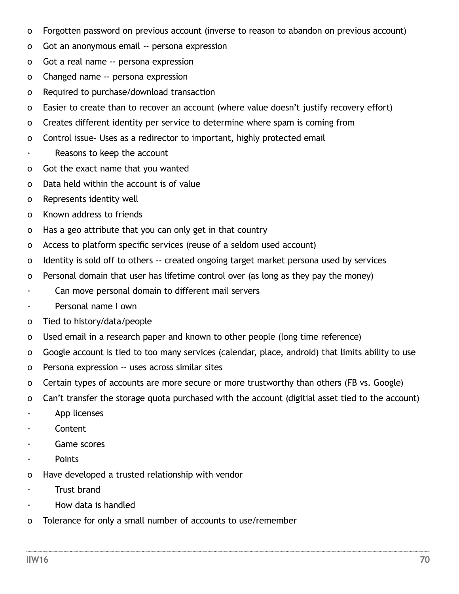- o Forgotten password on previous account (inverse to reason to abandon on previous account)
- o Got an anonymous email -- persona expression
- o Got a real name -- persona expression
- o Changed name -- persona expression
- o Required to purchase/download transaction
- o Easier to create than to recover an account (where value doesn't justify recovery effort)
- o Creates different identity per service to determine where spam is coming from
- o Control issue- Uses as a redirector to important, highly protected email
- · Reasons to keep the account
- o Got the exact name that you wanted
- o Data held within the account is of value
- o Represents identity well
- o Known address to friends
- o Has a geo attribute that you can only get in that country
- o Access to platform specific services (reuse of a seldom used account)
- o Identity is sold off to others -- created ongoing target market persona used by services
- o Personal domain that user has lifetime control over (as long as they pay the money)
- · Can move personal domain to different mail servers
- · Personal name I own
- o Tied to history/data/people
- o Used email in a research paper and known to other people (long time reference)
- o Google account is tied to too many services (calendar, place, android) that limits ability to use
- o Persona expression -- uses across similar sites
- o Certain types of accounts are more secure or more trustworthy than others (FB vs. Google)
- o Can't transfer the storage quota purchased with the account (digitial asset tied to the account)
- · App licenses
- · Content
- · Game scores
- · Points
- o Have developed a trusted relationship with vendor
- · Trust brand
- · How data is handled
- o Tolerance for only a small number of accounts to use/remember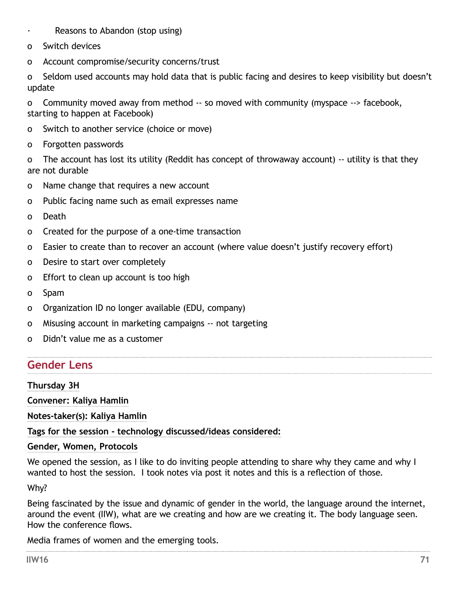- Reasons to Abandon (stop using)
- o Switch devices
- o Account compromise/security concerns/trust

o Seldom used accounts may hold data that is public facing and desires to keep visibility but doesn't update

o Community moved away from method -- so moved with community (myspace --> facebook, starting to happen at Facebook)

- o Switch to another service (choice or move)
- o Forgotten passwords

o The account has lost its utility (Reddit has concept of throwaway account) -- utility is that they are not durable

- o Name change that requires a new account
- o Public facing name such as email expresses name
- o Death
- o Created for the purpose of a one-time transaction
- o Easier to create than to recover an account (where value doesn't justify recovery effort)
- o Desire to start over completely
- o Effort to clean up account is too high
- o Spam
- o Organization ID no longer available (EDU, company)
- o Misusing account in marketing campaigns -- not targeting
- o Didn't value me as a customer

# **Gender Lens**

### **Thursday 3H**

**Convener: Kaliya Hamlin**

**Notes-taker(s): Kaliya Hamlin**

### **Tags for the session - technology discussed/ideas considered:**

### **Gender, Women, Protocols**

We opened the session, as I like to do inviting people attending to share why they came and why I wanted to host the session. I took notes via post it notes and this is a reflection of those.

Why?

Being fascinated by the issue and dynamic of gender in the world, the language around the internet, around the event (IIW), what are we creating and how are we creating it. The body language seen. How the conference flows.

Media frames of women and the emerging tools.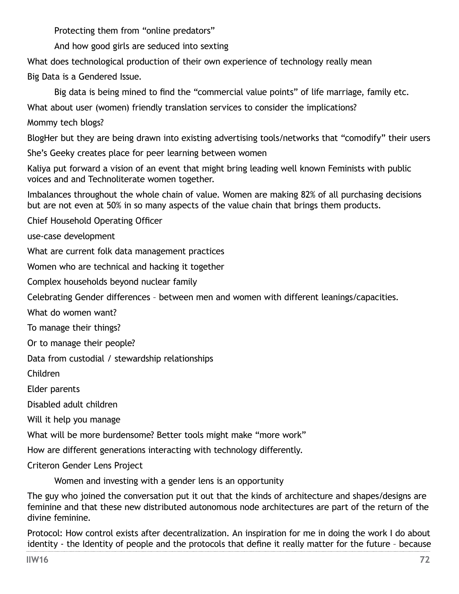Protecting them from "online predators"

And how good girls are seduced into sexting

What does technological production of their own experience of technology really mean

Big Data is a Gendered Issue.

Big data is being mined to find the "commercial value points" of life marriage, family etc.

What about user (women) friendly translation services to consider the implications?

Mommy tech blogs?

BlogHer but they are being drawn into existing advertising tools/networks that "comodify" their users

She's Geeky creates place for peer learning between women

Kaliya put forward a vision of an event that might bring leading well known Feminists with public voices and and Technoliterate women together.

Imbalances throughout the whole chain of value. Women are making 82% of all purchasing decisions but are not even at 50% in so many aspects of the value chain that brings them products.

Chief Household Operating Officer

use-case development

What are current folk data management practices

Women who are technical and hacking it together

Complex households beyond nuclear family

Celebrating Gender differences – between men and women with different leanings/capacities.

What do women want?

To manage their things?

Or to manage their people?

Data from custodial / stewardship relationships

Children

Elder parents

Disabled adult children

Will it help you manage

What will be more burdensome? Better tools might make "more work"

How are different generations interacting with technology differently.

Criteron Gender Lens Project

Women and investing with a gender lens is an opportunity

The guy who joined the conversation put it out that the kinds of architecture and shapes/designs are feminine and that these new distributed autonomous node architectures are part of the return of the divine feminine.

Protocol: How control exists after decentralization. An inspiration for me in doing the work I do about identity - the Identity of people and the protocols that define it really matter for the future – because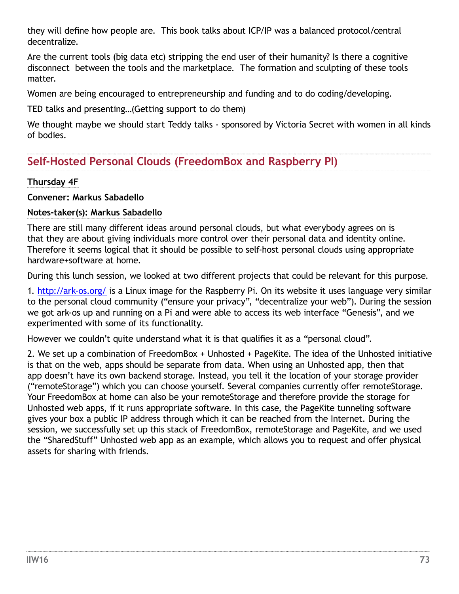they will define how people are. This book talks about ICP/IP was a balanced protocol/central decentralize.

Are the current tools (big data etc) stripping the end user of their humanity? Is there a cognitive disconnect between the tools and the marketplace. The formation and sculpting of these tools matter.

Women are being encouraged to entrepreneurship and funding and to do coding/developing.

TED talks and presenting…(Getting support to do them)

We thought maybe we should start Teddy talks - sponsored by Victoria Secret with women in all kinds of bodies.

## **Self-Hosted Personal Clouds (FreedomBox and Raspberry PI)**

## **Thursday 4F**

#### **Convener: Markus Sabadello**

## **Notes-taker(s): Markus Sabadello**

There are still many different ideas around personal clouds, but what everybody agrees on is that they are about giving individuals more control over their personal data and identity online. Therefore it seems logical that it should be possible to self-host personal clouds using appropriate hardware+software at home.

During this lunch session, we looked at two different projects that could be relevant for this purpose.

1. <http://ark-os.org/> is a Linux image for the Raspberry Pi. On its website it uses language very similar to the personal cloud community ("ensure your privacy", "decentralize your web"). During the session we got ark-os up and running on a Pi and were able to access its web interface "Genesis", and we experimented with some of its functionality.

However we couldn't quite understand what it is that qualifies it as a "personal cloud".

2. We set up a combination of FreedomBox + Unhosted + PageKite. The idea of the Unhosted initiative is that on the web, apps should be separate from data. When using an Unhosted app, then that app doesn't have its own backend storage. Instead, you tell it the location of your storage provider ("remoteStorage") which you can choose yourself. Several companies currently offer remoteStorage. Your FreedomBox at home can also be your remoteStorage and therefore provide the storage for Unhosted web apps, if it runs appropriate software. In this case, the PageKite tunneling software gives your box a public IP address through which it can be reached from the Internet. During the session, we successfully set up this stack of FreedomBox, remoteStorage and PageKite, and we used the "SharedStuff" Unhosted web app as an example, which allows you to request and offer physical assets for sharing with friends.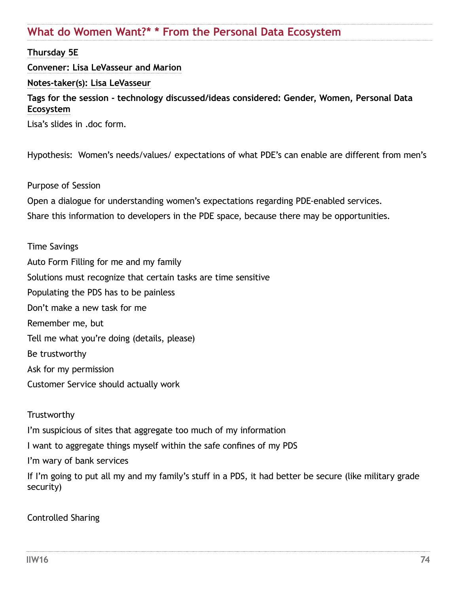## **What do Women Want?\* \* From the Personal Data Ecosystem**

### **Thursday 5E**

#### **Convener: Lisa LeVasseur and Marion**

#### **Notes-taker(s): Lisa LeVasseur**

### **Tags for the session - technology discussed/ideas considered: Gender, Women, Personal Data Ecosystem**

Lisa's slides in .doc form.

Hypothesis: Women's needs/values/ expectations of what PDE's can enable are different from men's

#### Purpose of Session

Open a dialogue for understanding women's expectations regarding PDE-enabled services.

Share this information to developers in the PDE space, because there may be opportunities.

#### Time Savings

Auto Form Filling for me and my family Solutions must recognize that certain tasks are time sensitive Populating the PDS has to be painless Don't make a new task for me Remember me, but Tell me what you're doing (details, please) Be trustworthy Ask for my permission Customer Service should actually work

#### **Trustworthy**

I'm suspicious of sites that aggregate too much of my information

I want to aggregate things myself within the safe confines of my PDS

I'm wary of bank services

If I'm going to put all my and my family's stuff in a PDS, it had better be secure (like military grade security)

#### Controlled Sharing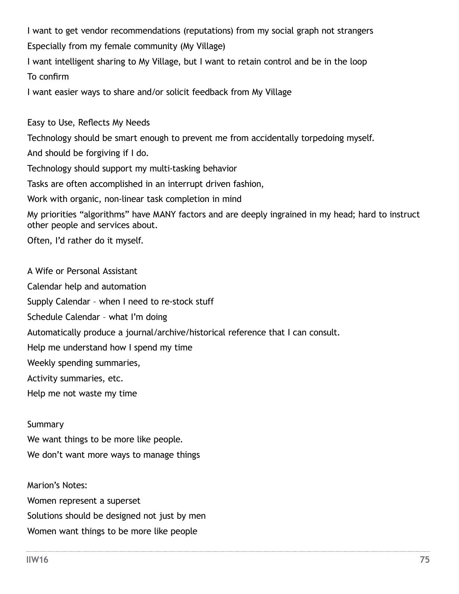I want to get vendor recommendations (reputations) from my social graph not strangers Especially from my female community (My Village)

I want intelligent sharing to My Village, but I want to retain control and be in the loop To confirm

I want easier ways to share and/or solicit feedback from My Village

Easy to Use, Reflects My Needs Technology should be smart enough to prevent me from accidentally torpedoing myself. And should be forgiving if I do. Technology should support my multi-tasking behavior Tasks are often accomplished in an interrupt driven fashion, Work with organic, non-linear task completion in mind My priorities "algorithms" have MANY factors and are deeply ingrained in my head; hard to instruct other people and services about. Often, I'd rather do it myself.

A Wife or Personal Assistant Calendar help and automation Supply Calendar – when I need to re-stock stuff Schedule Calendar – what I'm doing Automatically produce a journal/archive/historical reference that I can consult. Help me understand how I spend my time Weekly spending summaries, Activity summaries, etc. Help me not waste my time

#### **Summary**

We want things to be more like people. We don't want more ways to manage things

Marion's Notes: Women represent a superset Solutions should be designed not just by men Women want things to be more like people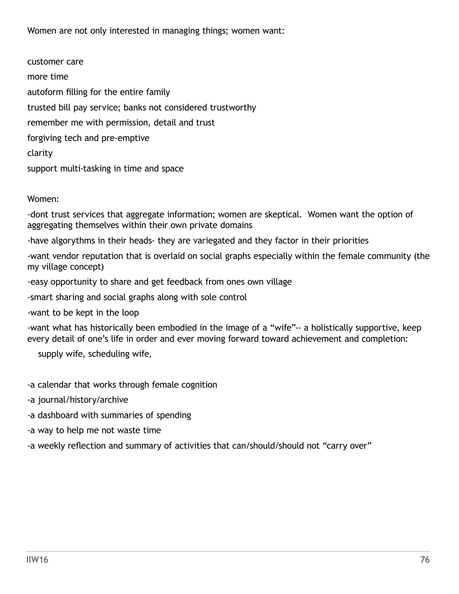Women are not only interested in managing things; women want:

customer care more time autoform filling for the entire family trusted bill pay service; banks not considered trustworthy remember me with permission, detail and trust forgiving tech and pre-emptive clarity support multi-tasking in time and space

Women:

-dont trust services that aggregate information; women are skeptical. Women want the option of aggregating themselves within their own private domains

-have algorythms in their heads- they are variegated and they factor in their priorities

-want vendor reputation that is overlaid on social graphs especially within the female community (the my village concept)

-easy opportunity to share and get feedback from ones own village

-smart sharing and social graphs along with sole control

-want to be kept in the loop

-want what has historically been embodied in the image of a "wife"-- a holistically supportive, keep every detail of one's life in order and ever moving forward toward achievement and completion:

supply wife, scheduling wife,

-a calendar that works through female cognition

-a journal/history/archive

-a dashboard with summaries of spending

-a way to help me not waste time

-a weekly reflection and summary of activities that can/should/should not "carry over"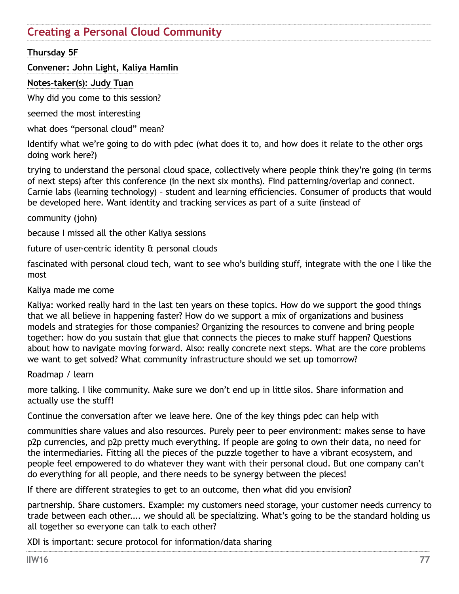## **Creating a Personal Cloud Community**

## **Thursday 5F**

### **Convener: John Light, Kaliya Hamlin**

#### **Notes-taker(s): Judy Tuan**

Why did you come to this session?

seemed the most interesting

what does "personal cloud" mean?

Identify what we're going to do with pdec (what does it to, and how does it relate to the other orgs doing work here?)

trying to understand the personal cloud space, collectively where people think they're going (in terms of next steps) after this conference (in the next six months). Find patterning/overlap and connect. Carnie labs (learning technology) – student and learning efficiencies. Consumer of products that would be developed here. Want identity and tracking services as part of a suite (instead of

community (john)

because I missed all the other Kaliya sessions

future of user-centric identity & personal clouds

fascinated with personal cloud tech, want to see who's building stuff, integrate with the one I like the most

Kaliya made me come

Kaliya: worked really hard in the last ten years on these topics. How do we support the good things that we all believe in happening faster? How do we support a mix of organizations and business models and strategies for those companies? Organizing the resources to convene and bring people together: how do you sustain that glue that connects the pieces to make stuff happen? Questions about how to navigate moving forward. Also: really concrete next steps. What are the core problems we want to get solved? What community infrastructure should we set up tomorrow?

Roadmap / learn

more talking. I like community. Make sure we don't end up in little silos. Share information and actually use the stuff!

Continue the conversation after we leave here. One of the key things pdec can help with

communities share values and also resources. Purely peer to peer environment: makes sense to have p2p currencies, and p2p pretty much everything. If people are going to own their data, no need for the intermediaries. Fitting all the pieces of the puzzle together to have a vibrant ecosystem, and people feel empowered to do whatever they want with their personal cloud. But one company can't do everything for all people, and there needs to be synergy between the pieces!

If there are different strategies to get to an outcome, then what did you envision?

partnership. Share customers. Example: my customers need storage, your customer needs currency to trade between each other.... we should all be specializing. What's going to be the standard holding us all together so everyone can talk to each other?

XDI is important: secure protocol for information/data sharing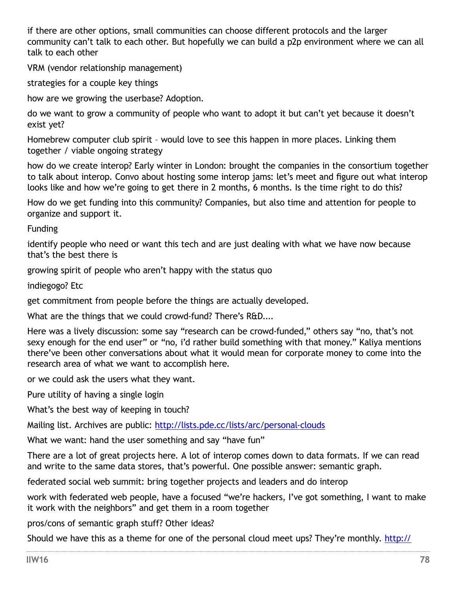if there are other options, small communities can choose different protocols and the larger community can't talk to each other. But hopefully we can build a p2p environment where we can all talk to each other

VRM (vendor relationship management)

strategies for a couple key things

how are we growing the userbase? Adoption.

do we want to grow a community of people who want to adopt it but can't yet because it doesn't exist yet?

Homebrew computer club spirit – would love to see this happen in more places. Linking them together / viable ongoing strategy

how do we create interop? Early winter in London: brought the companies in the consortium together to talk about interop. Convo about hosting some interop jams: let's meet and figure out what interop looks like and how we're going to get there in 2 months, 6 months. Is the time right to do this?

How do we get funding into this community? Companies, but also time and attention for people to organize and support it.

Funding

identify people who need or want this tech and are just dealing with what we have now because that's the best there is

growing spirit of people who aren't happy with the status quo

indiegogo? Etc

get commitment from people before the things are actually developed.

What are the things that we could crowd-fund? There's R&D....

Here was a lively discussion: some say "research can be crowd-funded," others say "no, that's not sexy enough for the end user" or "no, i'd rather build something with that money." Kaliya mentions there've been other conversations about what it would mean for corporate money to come into the research area of what we want to accomplish here.

or we could ask the users what they want.

Pure utility of having a single login

What's the best way of keeping in touch?

Mailing list. Archives are public: <http://lists.pde.cc/lists/arc/personal-clouds>

What we want: hand the user something and say "have fun"

There are a lot of great projects here. A lot of interop comes down to data formats. If we can read and write to the same data stores, that's powerful. One possible answer: semantic graph.

federated social web summit: bring together projects and leaders and do interop

work with federated web people, have a focused "we're hackers, I've got something, I want to make it work with the neighbors" and get them in a room together

pros/cons of semantic graph stuff? Other ideas?

Should we have this as a theme for one of the personal cloud meet ups? They're monthly. [http://](http://www.eventbrite.com/org/3106466104)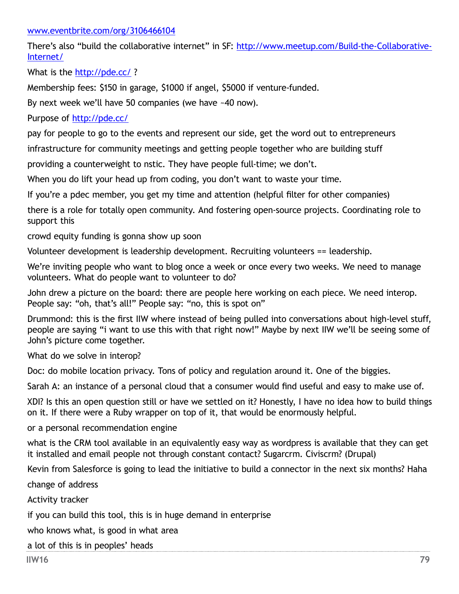#### [www.eventbrite.com/org/3106466104](http://www.eventbrite.com/org/3106466104)

There's also "build the collaborative internet" in SF: [http://www.meetup.com/Build-the-Collaborative-](http://www.meetup.com/Build-the-Collaborative-Internet/)[Internet/](http://www.meetup.com/Build-the-Collaborative-Internet/)

What is the<http://pde.cc/> ?

Membership fees: \$150 in garage, \$1000 if angel, \$5000 if venture-funded.

By next week we'll have 50 companies (we have ~40 now).

Purpose of<http://pde.cc/>

pay for people to go to the events and represent our side, get the word out to entrepreneurs

infrastructure for community meetings and getting people together who are building stuff

providing a counterweight to nstic. They have people full-time; we don't.

When you do lift your head up from coding, you don't want to waste your time.

If you're a pdec member, you get my time and attention (helpful filter for other companies)

there is a role for totally open community. And fostering open-source projects. Coordinating role to support this

crowd equity funding is gonna show up soon

Volunteer development is leadership development. Recruiting volunteers == leadership.

We're inviting people who want to blog once a week or once every two weeks. We need to manage volunteers. What do people want to volunteer to do?

John drew a picture on the board: there are people here working on each piece. We need interop. People say: "oh, that's all!" People say: "no, this is spot on"

Drummond: this is the first IIW where instead of being pulled into conversations about high-level stuff, people are saying "i want to use this with that right now!" Maybe by next IIW we'll be seeing some of John's picture come together.

What do we solve in interop?

Doc: do mobile location privacy. Tons of policy and regulation around it. One of the biggies.

Sarah A: an instance of a personal cloud that a consumer would find useful and easy to make use of.

XDI? Is this an open question still or have we settled on it? Honestly, I have no idea how to build things on it. If there were a Ruby wrapper on top of it, that would be enormously helpful.

or a personal recommendation engine

what is the CRM tool available in an equivalently easy way as wordpress is available that they can get it installed and email people not through constant contact? Sugarcrm. Civiscrm? (Drupal)

Kevin from Salesforce is going to lead the initiative to build a connector in the next six months? Haha

change of address

Activity tracker

if you can build this tool, this is in huge demand in enterprise

who knows what, is good in what area

a lot of this is in peoples' heads